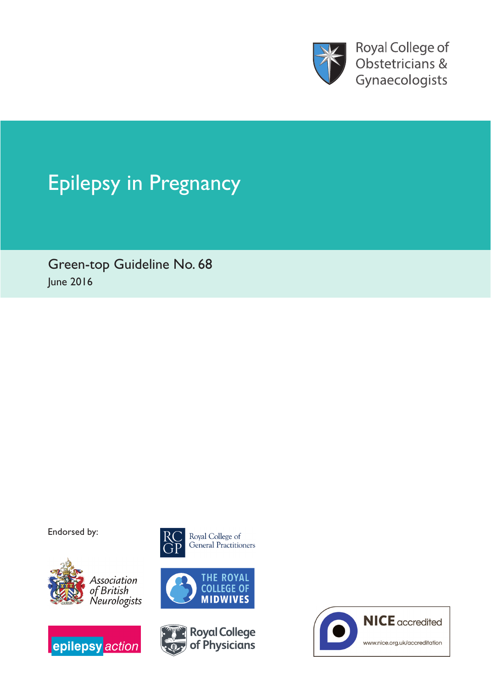

Royal College of Obstetricians & Gynaecologists

# Epilepsy in Pregnancy

Green-top Guideline No. 68 June 2016

Endorsed by:











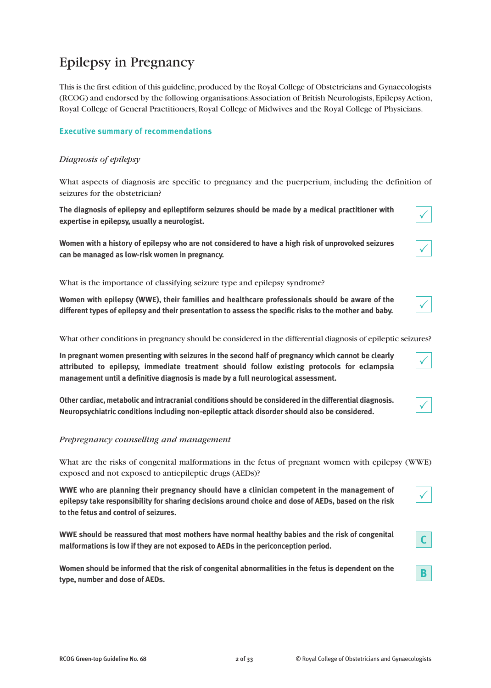# Epilepsy in Pregnancy

This is the first edition of this guideline, produced by the Royal College of Obstetricians and Gynaecologists (RCOG) and endorsed by the following organisations:Association of British Neurologists,EpilepsyAction, Royal College of General Practitioners,Royal College of Midwives and the Royal College of Physicians.

# **Executive summary of recommendations**

# *Diagnosis of epilepsy*

What aspects of diagnosis are specific to pregnancy and the puerperium, including the definition of seizures for the obstetrician?

**The diagnosis of epilepsy and epileptiform seizures should be made by a medical practitioner with expertise in epilepsy, usually a neurologist.**

**Women with a history of epilepsy who are not considered to have a high risk of unprovoked seizures can be managed as low-risk women in pregnancy.**

What is the importance of classifying seizure type and epilepsy syndrome?

**Women with epilepsy (WWE), their families and healthcare professionals should be aware of the different types of epilepsy and their presentation to assess the specific risks to the mother and baby.**

What other conditions in pregnancy should be considered in the differential diagnosis of epileptic seizures?

**In pregnant women presenting with seizures in the second half of pregnancy which cannot be clearly attributed to epilepsy, immediate treatment should follow existing protocols for eclampsia management until a definitive diagnosis is made by a full neurological assessment.**

**Other cardiac, metabolic and intracranial conditions should be considered in the differential diagnosis. Neuropsychiatric conditions including non-epileptic attack disorder should also be considered.**

#### *Prepregnancy counselling and management*

What are the risks of congenital malformations in the fetus of pregnant women with epilepsy (WWE) exposed and not exposed to antiepileptic drugs (AEDs)?

**WWE who are planning their pregnancy should have a clinician competent in the management of epilepsy take responsibility for sharing decisions around choice and dose of AEDs, based on the risk to the fetus and control of seizures.**

**WWE should be reassured that most mothers have normal healthy babies and the risk of congenital malformations is low if they are not exposed to AEDs in the periconception period.**

**Women should be informed that the risk of congenital abnormalities in the fetus is dependent on the type, number and dose of AEDs.**

 $\checkmark$ 

|--|--|

| ٠ |
|---|
|---|

**C**

**B**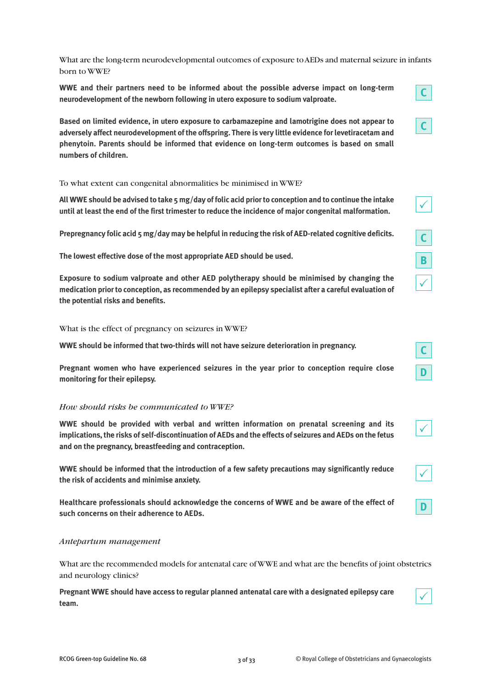What are the long-term neurodevelopmental outcomes of exposure toAEDs and maternal seizure in infants born to WWE?

**WWE and their partners need to be informed about the possible adverse impact on long-term neurodevelopment of the newborn following in utero exposure to sodium valproate.**

**Based on limited evidence, in utero exposure to carbamazepine and lamotrigine does not appear to adversely affect neurodevelopment of the offspring. There is very little evidence forlevetiracetam and phenytoin. Parents should be informed that evidence on long-term outcomes is based on small numbers of children.**

To what extent can congenital abnormalities be minimised in WWE?

All WWE should be advised to take 5 mg/day of folic acid prior to conception and to continue the intake **until at least the end of the first trimester to reduce the incidence of major congenital malformation.**

**Prepregnancy folic acid 5 mg/day may be helpful in reducing the risk of AED-related cognitive deficits.**

**The lowest effective dose of the most appropriate AED should be used.**

**Exposure to sodium valproate and other AED polytherapy should be minimised by changing the medication priorto conception, as recommended by an epilepsy specialist after a careful evaluation of the potential risks and benefits.**

What is the effect of pregnancy on seizures in WWE?

**WWE should be informed that two-thirds will not have seizure deterioration in pregnancy.**

**Pregnant women who have experienced seizures in the year prior to conception require close monitoring for their epilepsy.**

#### *How should risks be communicated to WWE?*

**WWE should be provided with verbal and written information on prenatal screening and its implications,the risks of self-discontinuation of AEDs and the effects of seizures and AEDs on the fetus and on the pregnancy, breastfeeding and contraception.**

**WWE should be informed that the introduction of a few safety precautions may significantly reduce the risk of accidents and minimise anxiety.**

**Healthcare professionals should acknowledge the concerns of WWE and be aware of the effect of such concerns on their adherence to AEDs.**

#### *Antepartum management*

What are the recommended models for antenatal care ofWWE and what are the benefits of joint obstetrics and neurology clinics?

**Pregnant WWE should have access to regular planned antenatal care with a designated epilepsy care team.**



**D**

 $\checkmark$ 

**C**

**C**

 $\checkmark$ 

**C**

**B**

 $\checkmark$ 

**C**

**D**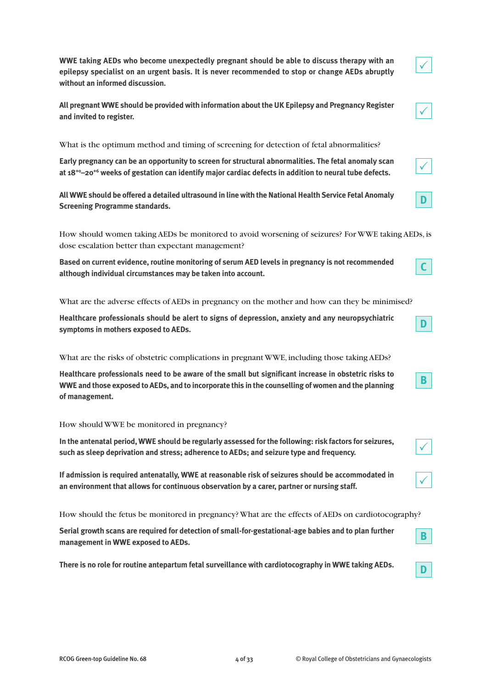**WWE taking AEDs who become unexpectedly pregnant should be able to discuss therapy with an epilepsy specialist on an urgent basis. It is never recommended to stop or change AEDs abruptly without an informed discussion.**

**All pregnant WWE should be provided with information aboutthe UK Epilepsy and Pregnancy Register and invited to register.**

What is the optimum method and timing of screening for detection of fetal abnormalities?

**Early pregnancy can be an opportunity to screen for structural abnormalities. The fetal anomaly scan at 18+0–20+6 weeks of gestation can identify major cardiac defects in addition to neural tube defects.**

**AllWWE should be offered a detailed ultrasound in line with theNationalHealth Service Fetal Anomaly Screening Programme standards.**

How should women taking AEDs be monitored to avoid worsening of seizures? For WWE taking AEDs, is dose escalation better than expectant management?

**Based on current evidence, routine monitoring of serum AED levels in pregnancy is not recommended although individual circumstances may be taken into account.**

What are the adverse effects of AEDs in pregnancy on the mother and how can they be minimised?

**Healthcare professionals should be alert to signs of depression, anxiety and any neuropsychiatric symptoms in mothers exposed to AEDs.**

What are the risks of obstetric complications in pregnant WWE, including those taking AEDs?

**Healthcare professionals need to be aware of the small but significant increase in obstetric risks to** WWE and those exposed to AEDs, and to incorporate this in the counselling of women and the planning **of management.**

#### How should WWE be monitored in pregnancy?

**In the antenatal period, WWE should be regularly assessed for the following: risk factors for seizures, such as sleep deprivation and stress; adherence to AEDs; and seizure type and frequency.**

**If admission is required antenatally, WWE at reasonable risk of seizures should be accommodated in an environment that allows for continuous observation by a carer, partner or nursing staff.**

How should the fetus be monitored in pregnancy? What are the effects of AEDs on cardiotocography?

**Serial growth scans are required for detection of small-for-gestational-age babies and to plan further management in WWE exposed to AEDs.**

**There is no role for routine antepartum fetal surveillance with cardiotocography in WWE taking AEDs.**

|--|

| ł<br>٠ |
|--------|
|--------|

**D**



**D**





|--|





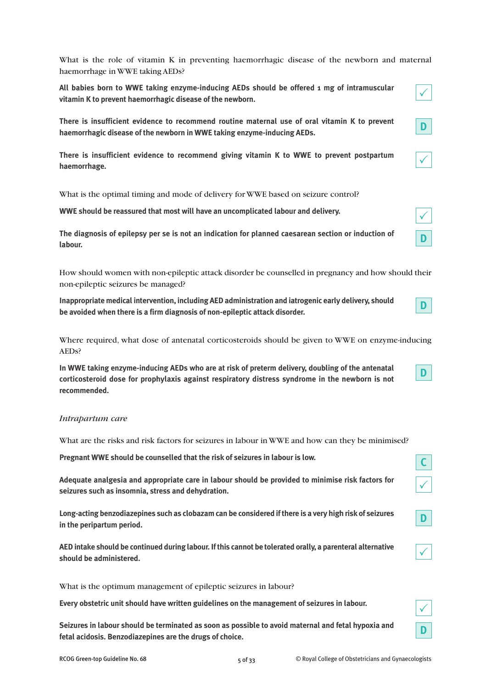What is the role of vitamin K in preventing haemorrhagic disease of the newborn and maternal haemorrhage in WWE taking AEDs?

**All babies born to WWE taking enzyme-inducing AEDs should be offered 1 mg of intramuscular vitamin K to prevent haemorrhagic disease of the newborn.**

**There is insufficient evidence to recommend routine maternal use of oral vitamin K to prevent haemorrhagic disease of the newborn in WWE taking enzyme-inducing AEDs.**

**There is insufficient evidence to recommend giving vitamin K to WWE to prevent postpartum haemorrhage.**

What is the optimal timing and mode of delivery for WWE based on seizure control?

**WWE should be reassured that most will have an uncomplicated labour and delivery.**

**The diagnosis of epilepsy per se is not an indication for planned caesarean section or induction of labour.**

How should women with non-epileptic attack disorder be counselled in pregnancy and how should their non-epileptic seizures be managed?

**Inappropriate medical intervention, including AED administration and iatrogenic early delivery, should be avoided when there is a firm diagnosis of non-epileptic attack disorder.**

Where required, what dose of antenatal corticosteroids should be given to WWE on enzyme-inducing AEDs?

**In WWE taking enzyme-inducing AEDs who are at risk of preterm delivery, doubling of the antenatal corticosteroid dose for prophylaxis against respiratory distress syndrome in the newborn is not recommended.**

# *Intrapartum care*

What are the risks and risk factors for seizures in labour in WWE and how can they be minimised?

**Pregnant WWE should be counselled that the risk of seizures in labour is low.**

**Adequate analgesia and appropriate care in labour should be provided to minimise risk factors for seizures such as insomnia, stress and dehydration.**

**Long-acting benzodiazepines such as clobazam can be considered ifthere is a very high risk of seizures in the peripartum period.**

**AED intake should be continued during labour. Ifthis cannot be tolerated orally, a parenteral alternative should be administered.**

What is the optimum management of epileptic seizures in labour?

**Every obstetric unit should have written guidelines on the management of seizures in labour.**

**Seizures in labour should be terminated as soon as possible to avoid maternal and fetal hypoxia and fetal acidosis. Benzodiazepines are the drugs of choice.**

**C**

 $\checkmark$ 

**D**

 $\checkmark$ 

 $\checkmark$ 

**D**

 $\checkmark$ 

 $\checkmark$ 

**D**

**D**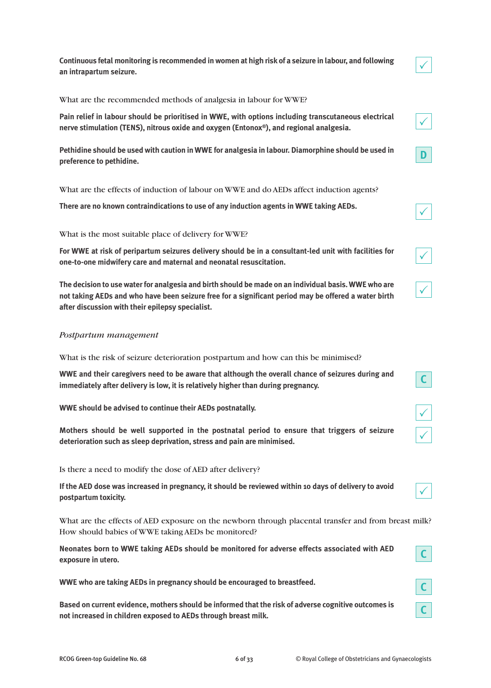**Continuous fetal monitoring is recommended in women at high risk of a seizure in labour, and following an intrapartum seizure.**

What are the recommended methods of analgesia in labour for WWE?

**Pain relief in labour should be prioritised in WWE, with options including transcutaneous electrical nerve stimulation (TENS), nitrous oxide and oxygen (Entonox®), and regional analgesia.**

**Pethidine should be used with caution in WWE for analgesia in labour. Diamorphine should be used in preference to pethidine.**

What are the effects of induction of labour on WWE and do AEDs affect induction agents?

**There are no known contraindications to use of any induction agents in WWE taking AEDs.**

What is the most suitable place of delivery for WWE?

**For WWE at risk of peripartum seizures delivery should be in a consultant-led unit with facilities for one-to-one midwifery care and maternal and neonatal resuscitation.**

**The decision to use waterfor analgesia and birth should be made on an individual basis.WWE who are** not taking AEDs and who have been seizure free for a significant period may be offered a water birth **after discussion with their epilepsy specialist.**

#### *Postpartum management*

What is the risk of seizure deterioration postpartum and how can this be minimised?

**WWE and their caregivers need to be aware that although the overall chance of seizures during and immediately after delivery is low, it is relatively higher than during pregnancy.**

**WWE should be advised to continue their AEDs postnatally.**

**Mothers should be well supported in the postnatal period to ensure that triggers of seizure deterioration such as sleep deprivation, stress and pain are minimised.**

Is there a need to modify the dose of AED after delivery?

If the AED dose was increased in pregnancy, it should be reviewed within 10 days of delivery to avoid **postpartum toxicity.**

What are the effects of AED exposure on the newborn through placental transfer and from breast milk? How should babies of WWE taking AEDs be monitored?

**Neonates born to WWE taking AEDs should be monitored for adverse effects associated with AED exposure in utero.**

**WWE who are taking AEDs in pregnancy should be encouraged to breastfeed.**

**Based on current evidence, mothers should be informed that the risk of adverse cognitive outcomes is not increased in children exposed to AEDs through breast milk.**





**C**



 $\checkmark$ 

 $\checkmark$ 

**D**



|--|--|

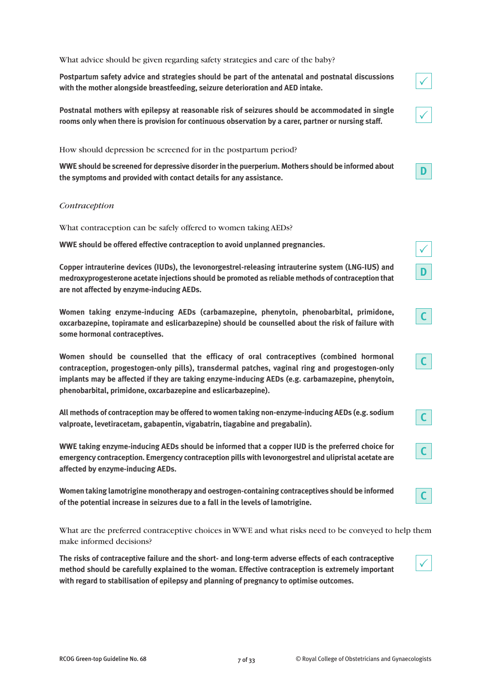What advice should be given regarding safety strategies and care of the baby?

**Postpartum safety advice and strategies should be part of the antenatal and postnatal discussions with the mother alongside breastfeeding, seizure deterioration and AED intake.**

**Postnatal mothers with epilepsy at reasonable risk of seizures should be accommodated in single rooms only when there is provision for continuous observation by a carer, partner or nursing staff.**

How should depression be screened for in the postpartum period?

**WWE should be screened for depressive disorderin the puerperium. Mothers should be informed about the symptoms and provided with contact details for any assistance.**

#### *Contraception*

What contraception can be safely offered to women taking AEDs?

**WWE should be offered effective contraception to avoid unplanned pregnancies.**

**Copper intrauterine devices (IUDs), the levonorgestrel-releasing intrauterine system (LNG-IUS) and medroxyprogesterone acetate injections should be promoted as reliable methods of contraception that are not affected by enzyme-inducing AEDs.**

**Women taking enzyme-inducing AEDs (carbamazepine, phenytoin, phenobarbital, primidone, oxcarbazepine, topiramate and eslicarbazepine) should be counselled about the risk of failure with some hormonal contraceptives.**

**Women should be counselled that the efficacy of oral contraceptives (combined hormonal contraception, progestogen-only pills), transdermal patches, vaginal ring and progestogen-only implants may be affected if they are taking enzyme-inducing AEDs (e.g. carbamazepine, phenytoin, phenobarbital, primidone, oxcarbazepine and eslicarbazepine).**

**All methods of contraception may be offered to women taking non-enzyme-inducing AEDs (e.g. sodium valproate, levetiracetam, gabapentin, vigabatrin, tiagabine and pregabalin).**

**WWE taking enzyme-inducing AEDs should be informed that a copper IUD is the preferred choice for emergency contraception. Emergency contraception pills with levonorgestrel and ulipristal acetate are affected by enzyme-inducing AEDs.**

**Women taking lamotrigine monotherapy and oestrogen-containing contraceptives should be informed of the potential increase in seizures due to a fall in the levels of lamotrigine.**

What are the preferred contraceptive choices in WWE and what risks need to be conveyed to help them make informed decisions?

**The risks of contraceptive failure and the short- and long-term adverse effects of each contraceptive method should be carefully explained to the woman. Effective contraception is extremely important with regard to stabilisation of epilepsy and planning of pregnancy to optimise outcomes.**



**C**

**C**

**C**

**D**

 $\checkmark$ 

**C**

**C**

 $\checkmark$ 

 $\checkmark$ 

**D**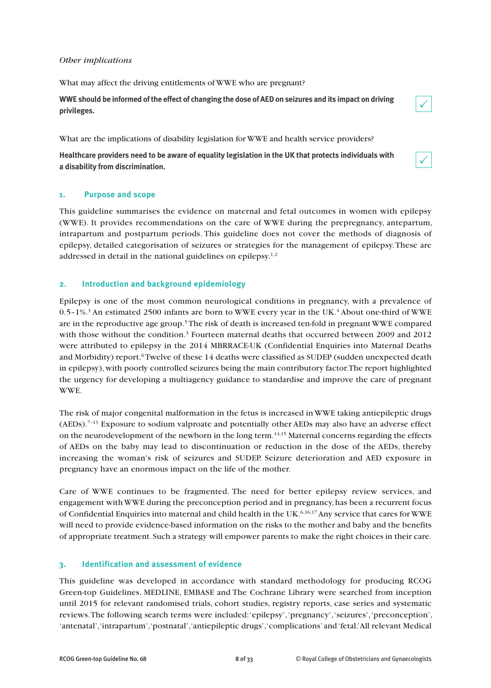#### *Other implications*

What may affect the driving entitlements of WWE who are pregnant?

WWE should be informed of the effect of changing the dose of AED on seizures and its impact on driving **privileges.**

What are the implications of disability legislation for WWE and health service providers?

**Healthcare providers need to be aware of equality legislation in the UK that protects individuals with a disability from discrimination.**

### **1. Purpose and scope**

This guideline summarises the evidence on maternal and fetal outcomes in women with epilepsy (WWE). It provides recommendations on the care of WWE during the prepregnancy, antepartum, intrapartum and postpartum periods. This guideline does not cover the methods of diagnosis of epilepsy, detailed categorisation of seizures or strategies for the management of epilepsy.These are addressed in detail in the national guidelines on epilepsy.<sup>1,2</sup>

### **2. Introduction and background epidemiology**

Epilepsy is one of the most common neurological conditions in pregnancy, with a prevalence of 0.5–1%. <sup>3</sup> An estimated 2500 infants are born to WWE every year in the UK. <sup>4</sup> About one-third of WWE are in the reproductive age group. <sup>5</sup> The risk of death is increased ten-fold in pregnant WWE compared with those without the condition.<sup>3</sup> Fourteen maternal deaths that occurred between 2009 and 2012 were attributed to epilepsy in the 2014 MBRRACE-UK (Confidential Enquiries into Maternal Deaths and Morbidity) report.<sup>6</sup> Twelve of these 14 deaths were classified as SUDEP (sudden unexpected death in epilepsy),with poorly controlled seizures being the main contributory factor.The report highlighted the urgency for developing a multiagency guidance to standardise and improve the care of pregnant WWE.

The risk of major congenital malformation in the fetus is increased in WWE taking antiepileptic drugs (AEDs).<sup>7-13</sup> Exposure to sodium valproate and potentially other AEDs may also have an adverse effect on the neurodevelopment of the newborn in the long term. 14,15 Maternal concerns regarding the effects of AEDs on the baby may lead to discontinuation or reduction in the dose of the AEDs, thereby increasing the woman's risk of seizures and SUDEP. Seizure deterioration and AED exposure in pregnancy have an enormous impact on the life of the mother.

Care of WWE continues to be fragmented. The need for better epilepsy review services, and engagement withWWE during the preconception period and in pregnancy,has been a recurrent focus of Confidential Enquiries into maternal and child health in the UK. 6,16,17Any service that cares forWWE will need to provide evidence-based information on the risks to the mother and baby and the benefits of appropriate treatment. Such a strategy will empower parents to make the right choices in their care.

# **3. Identification and assessment of evidence**

This guideline was developed in accordance with standard methodology for producing RCOG Green-top Guidelines. MEDLINE, EMBASE and The Cochrane Library were searched from inception until 2015 for relevant randomised trials, cohort studies, registry reports, case series and systematic reviews.The following search terms were included:'epilepsy','pregnancy','seizures','preconception', 'antenatal','intrapartum','postnatal','antiepileptic drugs','complications' and'fetal.'All relevant Medical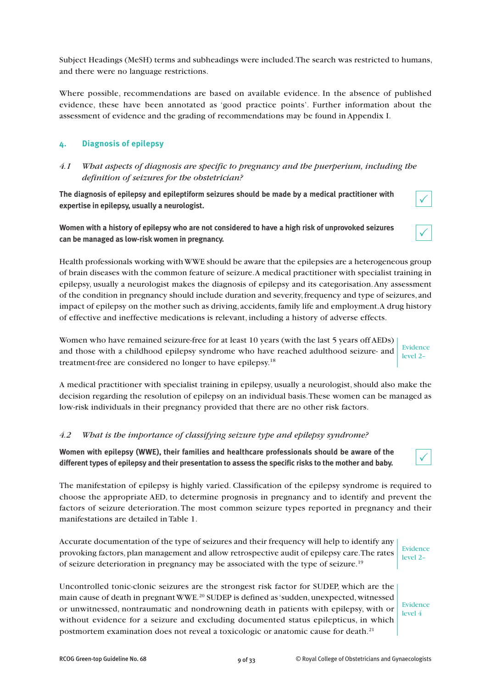Subject Headings (MeSH) terms and subheadings were included.The search was restricted to humans, and there were no language restrictions.

Where possible, recommendations are based on available evidence. In the absence of published evidence, these have been annotated as 'good practice points'. Further information about the assessment of evidence and the grading of recommendations may be found in Appendix I.

# **4. Diagnosis of epilepsy**

# *4.1 What aspects of diagnosis are specific to pregnancy and the puerperium, including the definition of seizures for the obstetrician?*

**The diagnosis of epilepsy and epileptiform seizures should be made by a medical practitioner with expertise in epilepsy, usually a neurologist.**

# **Women with a history of epilepsy who are not considered to have a high risk of unprovoked seizures can be managed as low-risk women in pregnancy.**

Health professionals working withWWE should be aware that the epilepsies are a heterogeneous group of brain diseases with the common feature of seizure.A medical practitioner with specialist training in epilepsy, usually a neurologist makes the diagnosis of epilepsy and its categorisation.Any assessment of the condition in pregnancy should include duration and severity,frequency and type of seizures, and impact of epilepsy on the mother such as driving, accidents,family life and employment.A drug history of effective and ineffective medications is relevant, including a history of adverse effects.

Women who have remained seizure-free for at least 10 years (with the last 5 years off AEDs) and those with a childhood epilepsy syndrome who have reached adulthood seizure- and treatment-free are considered no longer to have epilepsy.<sup>18</sup> Evidence level 2–

A medical practitioner with specialist training in epilepsy, usually a neurologist,should also make the decision regarding the resolution of epilepsy on an individual basis.These women can be managed as low-risk individuals in their pregnancy provided that there are no other risk factors.

# *4.2 What is the importance of classifying seizure type and epilepsy syndrome?*

**Women with epilepsy (WWE), their families and healthcare professionals should be aware of the different types of epilepsy and their presentation to assess the specific risks to the mother and baby.**

The manifestation of epilepsy is highly varied. Classification of the epilepsy syndrome is required to choose the appropriate AED, to determine prognosis in pregnancy and to identify and prevent the factors of seizure deterioration.The most common seizure types reported in pregnancy and their manifestations are detailed in Table 1.

Accurate documentation of the type of seizures and their frequency will help to identify any provoking factors, plan management and allow retrospective audit of epilepsy care. The rates of seizure deterioration in pregnancy may be associated with the type of seizure.<sup>19</sup> Evidence level 2–

Uncontrolled tonic-clonic seizures are the strongest risk factor for SUDEP, which are the main cause of death in pregnant WWE.<sup>20</sup> SUDEP is defined as 'sudden, unexpected, witnessed or unwitnessed, nontraumatic and nondrowning death in patients with epilepsy, with or without evidence for a seizure and excluding documented status epilepticus, in which postmortem examination does not reveal a toxicologic or anatomic cause for death.<sup>21</sup>

Evidence level 4



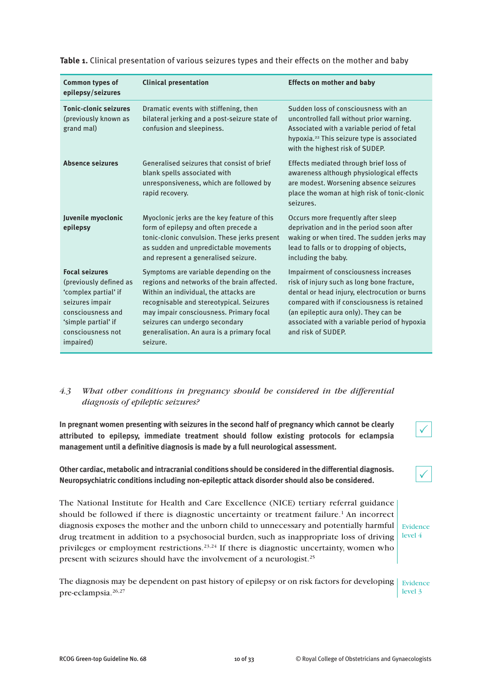| Common types of<br>epilepsy/seizures                                                                                                                                     | <b>Clinical presentation</b>                                                                                                                                                                                                                                                                                      | <b>Effects on mother and baby</b>                                                                                                                                                                                                                                                                 |
|--------------------------------------------------------------------------------------------------------------------------------------------------------------------------|-------------------------------------------------------------------------------------------------------------------------------------------------------------------------------------------------------------------------------------------------------------------------------------------------------------------|---------------------------------------------------------------------------------------------------------------------------------------------------------------------------------------------------------------------------------------------------------------------------------------------------|
| <b>Tonic-clonic seizures</b><br>(previously known as<br>grand mal)                                                                                                       | Dramatic events with stiffening, then<br>bilateral jerking and a post-seizure state of<br>confusion and sleepiness.                                                                                                                                                                                               | Sudden loss of consciousness with an<br>uncontrolled fall without prior warning.<br>Associated with a variable period of fetal<br>hypoxia. <sup>22</sup> This seizure type is associated<br>with the highest risk of SUDEP.                                                                       |
| <b>Absence seizures</b>                                                                                                                                                  | Generalised seizures that consist of brief<br>blank spells associated with<br>unresponsiveness, which are followed by<br>rapid recovery.                                                                                                                                                                          | Effects mediated through brief loss of<br>awareness although physiological effects<br>are modest. Worsening absence seizures<br>place the woman at high risk of tonic-clonic<br>seizures.                                                                                                         |
| Juvenile myoclonic<br>epilepsy                                                                                                                                           | Myoclonic jerks are the key feature of this<br>form of epilepsy and often precede a<br>tonic-clonic convulsion. These jerks present<br>as sudden and unpredictable movements<br>and represent a generalised seizure.                                                                                              | Occurs more frequently after sleep<br>deprivation and in the period soon after<br>waking or when tired. The sudden jerks may<br>lead to falls or to dropping of objects,<br>including the baby.                                                                                                   |
| <b>Focal seizures</b><br>(previously defined as<br>'complex partial' if<br>seizures impair<br>consciousness and<br>'simple partial' if<br>consciousness not<br>impaired) | Symptoms are variable depending on the<br>regions and networks of the brain affected.<br>Within an individual, the attacks are<br>recognisable and stereotypical. Seizures<br>may impair consciousness. Primary focal<br>seizures can undergo secondary<br>generalisation. An aura is a primary focal<br>seizure. | Impairment of consciousness increases<br>risk of injury such as long bone fracture,<br>dental or head injury, electrocution or burns<br>compared with if consciousness is retained<br>(an epileptic aura only). They can be<br>associated with a variable period of hypoxia<br>and risk of SUDEP. |

**Table 1.** Clinical presentation of various seizures types and their effects on the mother and baby

# *4.3 What other conditions in pregnancy should be considered in the differential diagnosis of epileptic seizures?*

**In pregnant women presenting with seizures in the second half of pregnancy which cannot be clearly attributed to epilepsy, immediate treatment should follow existing protocols for eclampsia management until a definitive diagnosis is made by a full neurological assessment.**

**Other cardiac, metabolic and intracranial conditions should be considered in the differential diagnosis. Neuropsychiatric conditions including non-epileptic attack disorder should also be considered.**

The National Institute for Health and Care Excellence (NICE) tertiary referral guidance should be followed if there is diagnostic uncertainty or treatment failure. <sup>1</sup> An incorrect diagnosis exposes the mother and the unborn child to unnecessary and potentially harmful  $\frac{1}{10}$  Evidence drug treatment in addition to a psychosocial burden, such as inappropriate loss of driving privileges or employment restrictions.<sup>23,24</sup> If there is diagnostic uncertainty, women who present with seizures should have the involvement of a neurologist.<sup>25</sup> level 4

The diagnosis may be dependent on past history of epilepsy or on risk factors for developing Fividence pre-eclampsia. 26,27 level 3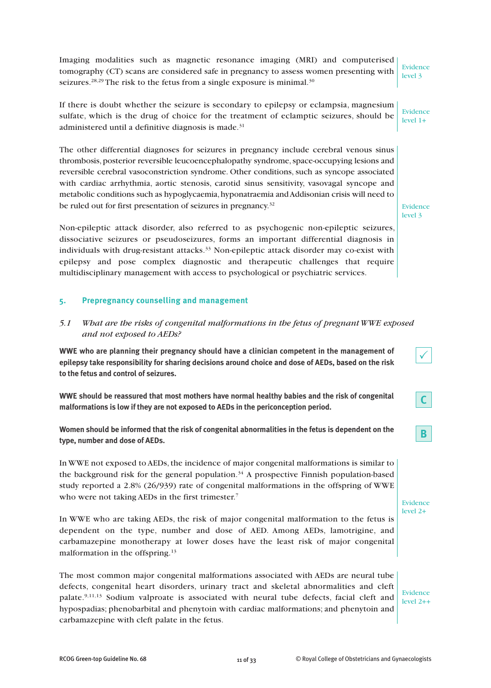Imaging modalities such as magnetic resonance imaging (MRI) and computerised tomography (CT) scans are considered safe in pregnancy to assess women presenting with seizures.<sup>28,29</sup> The risk to the fetus from a single exposure is minimal.<sup>30</sup>

If there is doubt whether the seizure is secondary to epilepsy or eclampsia, magnesium sulfate, which is the drug of choice for the treatment of eclamptic seizures, should be administered until a definitive diagnosis is made. 31

The other differential diagnoses for seizures in pregnancy include cerebral venous sinus thrombosis, posterior reversible leucoencephalopathy syndrome, space-occupying lesions and reversible cerebral vasoconstriction syndrome. Other conditions, such as syncope associated with cardiac arrhythmia, aortic stenosis, carotid sinus sensitivity, vasovagal syncope and metabolic conditions such as hypoglycaemia,hyponatraemia andAddisonian crisis will need to be ruled out for first presentation of seizures in pregnancy.<sup>32</sup>

Non-epileptic attack disorder, also referred to as psychogenic non-epileptic seizures, dissociative seizures or pseudoseizures, forms an important differential diagnosis in individuals with drug-resistant attacks. <sup>33</sup> Non-epileptic attack disorder may co-exist with epilepsy and pose complex diagnostic and therapeutic challenges that require multidisciplinary management with access to psychological or psychiatric services.

#### **5. Prepregnancy counselling and management**

*5.1 What are the risks of congenital malformations in the fetus of pregnant WWE exposed and not exposed to AEDs?*

**WWE who are planning their pregnancy should have a clinician competent in the management of epilepsy take responsibility for sharing decisions around choice and dose of AEDs, based on the risk to the fetus and control of seizures.**

**WWE should be reassured that most mothers have normal healthy babies and the risk of congenital malformations is low if they are not exposed to AEDs in the periconception period.**

**Women should be informed that the risk of congenital abnormalities in the fetus is dependent on the type, number and dose of AEDs.**

In WWE not exposed to AEDs, the incidence of major congenital malformations is similar to the background risk for the general population. <sup>34</sup> A prospective Finnish population-based study reported a 2.8% (26/939) rate of congenital malformations in the offspring of WWE who were not taking AEDs in the first trimester.<sup>7</sup>

In WWE who are taking AEDs, the risk of major congenital malformation to the fetus is dependent on the type, number and dose of AED. Among AEDs, lamotrigine, and carbamazepine monotherapy at lower doses have the least risk of major congenital malformation in the offspring. 13

The most common major congenital malformations associated with AEDs are neural tube defects, congenital heart disorders, urinary tract and skeletal abnormalities and cleft palate.<sup>9,11,13</sup> Sodium valproate is associated with neural tube defects, facial cleft and hypospadias; phenobarbital and phenytoin with cardiac malformations; and phenytoin and carbamazepine with cleft palate in the fetus.

Evidence level 2++

Evidence level 2+

Evidence level 3

Evidence level 1+

Evidence level 3

 $\checkmark$ 

**C**

**B**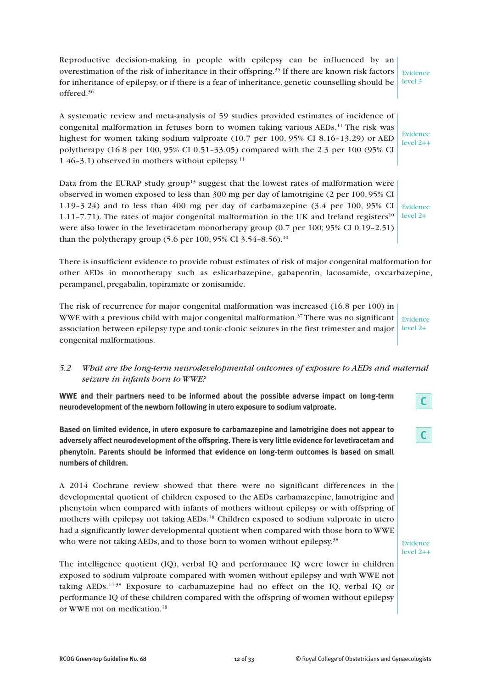Reproductive decision-making in people with epilepsy can be influenced by an overestimation of the risk of inheritance in their offspring. <sup>35</sup> If there are known risk factors for inheritance of epilepsy, or if there is a fear of inheritance, genetic counselling should be offered. 36 Evidence level 3

A systematic review and meta-analysis of 59 studies provided estimates of incidence of congenital malformation in fetuses born to women taking various AEDs.<sup>11</sup> The risk was highest for women taking sodium valproate (10.7 per 100, 95% CI 8.16–13.29) or AED polytherapy (16.8 per 100, 95% CI 0.51–33.05) compared with the 2.3 per 100 (95% CI 1.46–3.1) observed in mothers without epilepsy. 11

Data from the EURAP study group<sup>13</sup> suggest that the lowest rates of malformation were observed in women exposed to less than 300 mg per day of lamotrigine (2 per 100, 95% CI 1.19–3.24) and to less than 400 mg per day of carbamazepine (3.4 per 100, 95% CI 1.11–7.71). The rates of major congenital malformation in the UK and Ireland registers<sup>10</sup> were also lower in the levetiracetam monotherapy group (0.7 per 100; 95% CI 0.19-2.51) than the polytherapy group (5.6 per 100, 95% CI 3.54-8.56).<sup>10</sup>

Evidence level 2+

Evidence level 2++

There is insufficient evidence to provide robust estimates of risk of major congenital malformation for other AEDs in monotherapy such as eslicarbazepine, gabapentin, lacosamide, oxcarbazepine, perampanel, pregabalin, topiramate or zonisamide.

The risk of recurrence for major congenital malformation was increased (16.8 per 100) in WWE with a previous child with major congenital malformation. <sup>37</sup> There was no significant association between epilepsy type and tonic-clonic seizures in the first trimester and major congenital malformations. Evidence level 2+

# *5.2 What are the long-term neurodevelopmental outcomes of exposure to AEDs and maternal seizure in infants born to WWE?*

**WWE and their partners need to be informed about the possible adverse impact on long-term neurodevelopment of the newborn following in utero exposure to sodium valproate.**

**Based on limited evidence, in utero exposure to carbamazepine and lamotrigine does not appear to adversely affect neurodevelopment of the offspring. There is very little evidence forlevetiracetam and phenytoin. Parents should be informed that evidence on long-term outcomes is based on small numbers of children.**

A 2014 Cochrane review showed that there were no significant differences in the developmental quotient of children exposed to the AEDs carbamazepine, lamotrigine and phenytoin when compared with infants of mothers without epilepsy or with offspring of mothers with epilepsy not taking AEDs. <sup>38</sup> Children exposed to sodium valproate in utero had a significantly lower developmental quotient when compared with those born to WWE who were not taking AEDs, and to those born to women without epilepsy.<sup>38</sup>

The intelligence quotient (IQ), verbal IQ and performance IQ were lower in children exposed to sodium valproate compared with women without epilepsy and with WWE not taking AEDs. 14,38 Exposure to carbamazepine had no effect on the IQ, verbal IQ or performance IQ of these children compared with the offspring of women without epilepsy or WWE not on medication. 38

**C**

**C**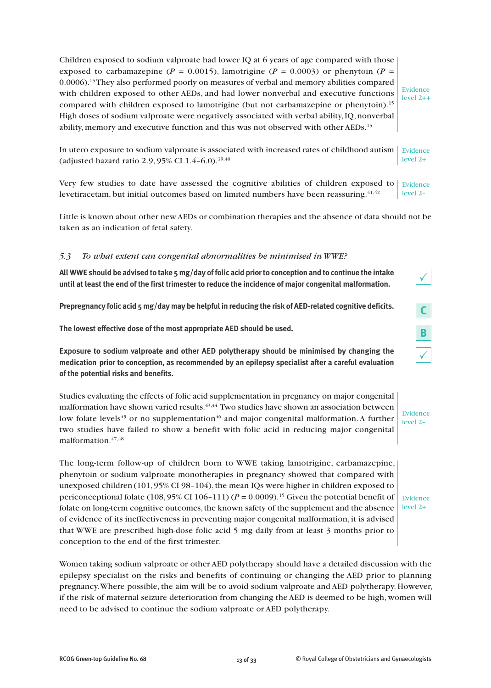Children exposed to sodium valproate had lower IQ at 6 years of age compared with those exposed to carbamazepine ( $P = 0.0015$ ), lamotrigine ( $P = 0.0003$ ) or phenytoin ( $P = 0.0015$ ) 0.0006). 15They also performed poorly on measures of verbal and memory abilities compared with children exposed to other AEDs, and had lower nonverbal and executive functions compared with children exposed to lamotrigine (but not carbamazepine or phenytoin). 15 High doses of sodium valproate were negatively associated with verbal ability,IQ,nonverbal ability, memory and executive function and this was not observed with other AEDs. 15

Evidence level 2++

In utero exposure to sodium valproate is associated with increased rates of childhood autism  $\mid$  Evidence (adjusted hazard ratio 2.9, 95% CI 1.4-6.0).<sup>39,40</sup> level 2+

Very few studies to date have assessed the cognitive abilities of children exposed to levetiracetam, but initial outcomes based on limited numbers have been reassuring. $^{41,42}$ Evidence level 2–

Little is known about other new AEDs or combination therapies and the absence of data should not be taken as an indication of fetal safety.

### *5.3 To what extent can congenital abnormalities be minimised in WWE?*

All WWE should be advised to take 5 mg/day of folic acid prior to conception and to continue the intake **until at least the end of the first trimester to reduce the incidence of major congenital malformation.**

**Prepregnancy folic acid 5 mg/day may be helpful in reducing the risk of AED-related cognitive deficits.**

**The lowest effective dose of the most appropriate AED should be used.**

**Exposure to sodium valproate and other AED polytherapy should be minimised by changing the medication prior to conception, as recommended by an epilepsy specialist after a careful evaluation of the potential risks and benefits.**

Studies evaluating the effects of folic acid supplementation in pregnancy on major congenital malformation have shown varied results.<sup>43,44</sup> Two studies have shown an association between low folate levels<sup>45</sup> or no supplementation<sup>46</sup> and major congenital malformation. A further two studies have failed to show a benefit with folic acid in reducing major congenital malformation. 47,48

The long-term follow-up of children born to WWE taking lamotrigine, carbamazepine, phenytoin or sodium valproate monotherapies in pregnancy showed that compared with unexposed children  $(101, 95\% \text{ CI } 98-104)$ , the mean IQs were higher in children exposed to periconceptional folate  $(108, 95\% \text{ CI } 106-111)$   $(P = 0.0009)$ .<sup>15</sup> Given the potential benefit of folate on long-term cognitive outcomes, the known safety of the supplement and the absence of evidence of its ineffectiveness in preventing major congenital malformation, it is advised that WWE are prescribed high-dose folic acid 5 mg daily from at least 3 months prior to conception to the end of the first trimester.

Women taking sodium valproate or other AED polytherapy should have a detailed discussion with the epilepsy specialist on the risks and benefits of continuing or changing the AED prior to planning pregnancy.Where possible, the aim will be to avoid sodium valproate and AED polytherapy. However, if the risk of maternal seizure deterioration from changing the AED is deemed to be high, women will need to be advised to continue the sodium valproate or AED polytherapy.

Evidence level 2–

 $\checkmark$ 

**C**

**B**

 $\checkmark$ 

Evidence level 2+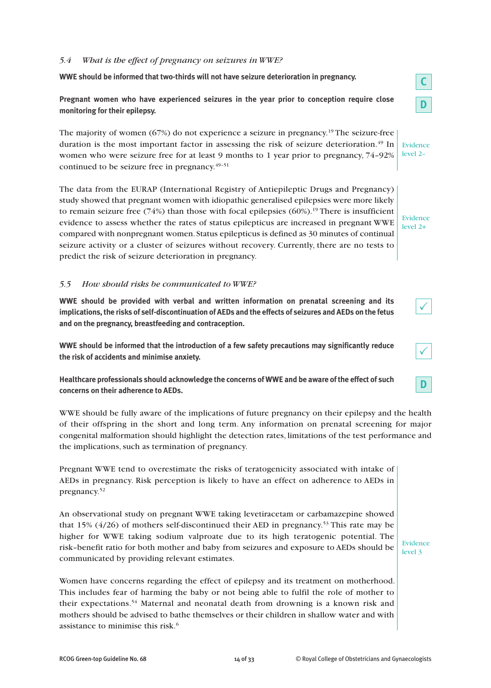### *5.4 What is the effect of pregnancy on seizures in WWE?*

**WWE should be informed that two-thirds will not have seizure deterioration in pregnancy.**

**Pregnant women who have experienced seizures in the year prior to conception require close monitoring for their epilepsy.**

The majority of women (67%) do not experience a seizure in pregnancy. <sup>19</sup> The seizure-free duration is the most important factor in assessing the risk of seizure deterioration. <sup>49</sup> In women who were seizure free for at least 9 months to 1 year prior to pregnancy, 74–92% continued to be seizure free in pregnancy.<sup>49-51</sup>

The data from the EURAP (International Registry of Antiepileptic Drugs and Pregnancy) study showed that pregnant women with idiopathic generalised epilepsies were more likely to remain seizure free (74%) than those with focal epilepsies (60%).<sup>19</sup> There is insufficient evidence to assess whether the rates of status epilepticus are increased in pregnant WWE compared with nonpregnant women. Status epilepticus is defined as 30 minutes of continual seizure activity or a cluster of seizures without recovery. Currently, there are no tests to predict the risk of seizure deterioration in pregnancy.

# *5.5 How should risks be communicated to WWE?*

**WWE should be provided with verbal and written information on prenatal screening and its implications,the risks of self-discontinuation of AEDs and the effects of seizures and AEDs on the fetus and on the pregnancy, breastfeeding and contraception.**

**WWE should be informed that the introduction of a few safety precautions may significantly reduce the risk of accidents and minimise anxiety.**

**Healthcare professionals should acknowledge the concerns of WWE and be aware ofthe effect of such concerns on their adherence to AEDs.**

WWE should be fully aware of the implications of future pregnancy on their epilepsy and the health of their offspring in the short and long term. Any information on prenatal screening for major congenital malformation should highlight the detection rates, limitations of the test performance and the implications, such as termination of pregnancy.

Pregnant WWE tend to overestimate the risks of teratogenicity associated with intake of AEDs in pregnancy. Risk perception is likely to have an effect on adherence to AEDs in pregnancy. 52

An observational study on pregnant WWE taking levetiracetam or carbamazepine showed that 15% (4/26) of mothers self-discontinued their AED in pregnancy. <sup>53</sup> This rate may be higher for WWE taking sodium valproate due to its high teratogenic potential. The risk–benefit ratio for both mother and baby from seizures and exposure to AEDs should be communicated by providing relevant estimates.

Women have concerns regarding the effect of epilepsy and its treatment on motherhood. This includes fear of harming the baby or not being able to fulfil the role of mother to their expectations. <sup>54</sup> Maternal and neonatal death from drowning is a known risk and mothers should be advised to bathe themselves or their children in shallow water and with assistance to minimise this risk. 6



**C**

**D**

level 2–

Evidence level 2+





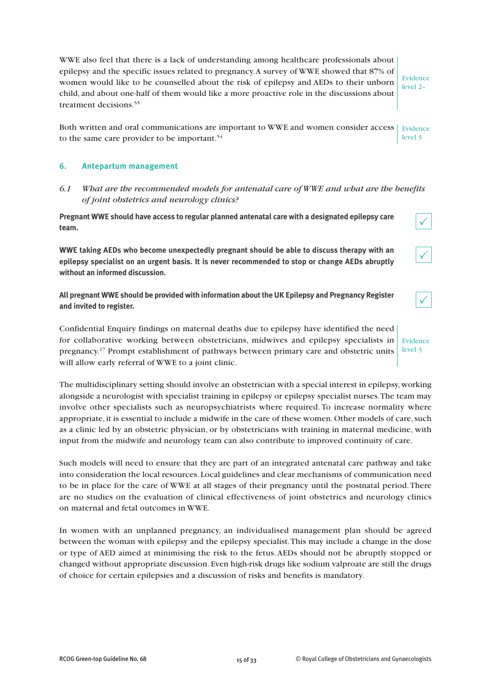WWE also feel that there is a lack of understanding among healthcare professionals about epilepsy and the specific issues related to pregnancy.A survey of WWE showed that 87% of women would like to be counselled about the risk of epilepsy and AEDs to their unborn child, and about one-half of them would like a more proactive role in the discussions about treatment decisions. 55

Evidence level 2–

Both written and oral communications are important to WWE and women consider access  $\mid$  Evidence to the same care provider to be important.<sup>54</sup> level 3

#### **6. Antepartum management**

*6.1 What are the recommended models for antenatal care of WWE and what are the benefits of joint obstetrics and neurology clinics?*

**Pregnant WWE should have access to regular planned antenatal care with a designated epilepsy care team.**

**WWE taking AEDs who become unexpectedly pregnant should be able to discuss therapy with an epilepsy specialist on an urgent basis. It is never recommended to stop or change AEDs abruptly without an informed discussion.**

**All pregnant WWE should be provided with information aboutthe UK Epilepsy and Pregnancy Register and invited to register.**

Confidential Enquiry findings on maternal deaths due to epilepsy have identified the need for collaborative working between obstetricians, midwives and epilepsy specialists in pregnancy. <sup>17</sup> Prompt establishment of pathways between primary care and obstetric units will allow early referral of WWE to a joint clinic. level 3

The multidisciplinary setting should involve an obstetrician with a special interest in epilepsy,working alongside a neurologist with specialist training in epilepsy or epilepsy specialist nurses.The team may involve other specialists such as neuropsychiatrists where required. To increase normality where appropriate, it is essential to include a midwife in the care of these women.Other models of care,such as a clinic led by an obstetric physician, or by obstetricians with training in maternal medicine, with input from the midwife and neurology team can also contribute to improved continuity of care.

Such models will need to ensure that they are part of an integrated antenatal care pathway and take into consideration the local resources. Local guidelines and clear mechanisms of communication need to be in place for the care of WWE at all stages of their pregnancy until the postnatal period.There are no studies on the evaluation of clinical effectiveness of joint obstetrics and neurology clinics on maternal and fetal outcomes in WWE.

In women with an unplanned pregnancy, an individualised management plan should be agreed between the woman with epilepsy and the epilepsy specialist.This may include a change in the dose or type of AED aimed at minimising the risk to the fetus.AEDs should not be abruptly stopped or changed without appropriate discussion. Even high-risk drugs like sodium valproate are still the drugs of choice for certain epilepsies and a discussion of risks and benefits is mandatory.



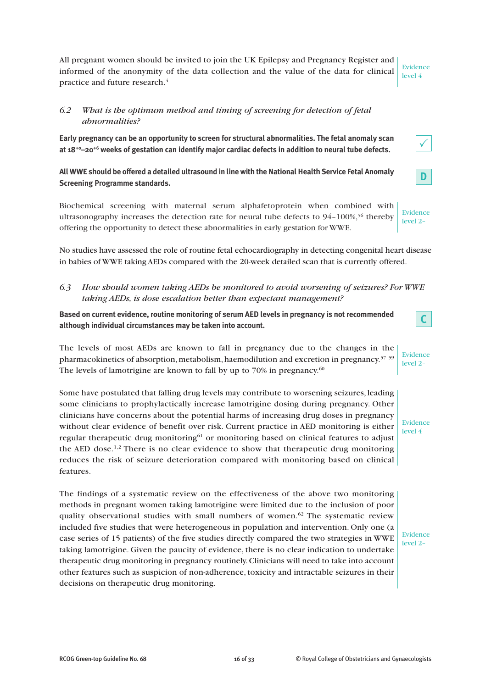All pregnant women should be invited to join the UK Epilepsy and Pregnancy Register and informed of the anonymity of the data collection and the value of the data for clinical practice and future research. 4

# *6.2 What is the optimum method and timing of screening for detection of fetal abnormalities?*

**Early pregnancy can be an opportunity to screen for structural abnormalities. The fetal anomaly scan at 18+0–20+6 weeks of gestation can identify major cardiac defects in addition to neural tube defects.**

**AllWWE should be offered a detailed ultrasound in line with theNationalHealth Service Fetal Anomaly Screening Programme standards.**

Biochemical screening with maternal serum alphafetoprotein when combined with ultrasonography increases the detection rate for neural tube defects to  $94-100\%$ ,<sup>56</sup> thereby offering the opportunity to detect these abnormalities in early gestation for WWE.

No studies have assessed the role of routine fetal echocardiography in detecting congenital heart disease in babies of WWE taking AEDs compared with the 20-week detailed scan that is currently offered.

*6.3 How should women taking AEDs be monitored to avoid worsening of seizures? For WWE taking AEDs, is dose escalation better than expectant management?*

**Based on current evidence, routine monitoring of serum AED levels in pregnancy is not recommended although individual circumstances may be taken into account.**

The levels of most AEDs are known to fall in pregnancy due to the changes in the pharmacokinetics of absorption, metabolism, haemodilution and excretion in pregnancy.<sup>57-59</sup> The levels of lamotrigine are known to fall by up to 70% in pregnancy. $^{60}$ Evidence level 2–

Some have postulated that falling drug levels may contribute to worsening seizures, leading some clinicians to prophylactically increase lamotrigine dosing during pregnancy. Other clinicians have concerns about the potential harms of increasing drug doses in pregnancy without clear evidence of benefit over risk. Current practice in AED monitoring is either regular therapeutic drug monitoring<sup>61</sup> or monitoring based on clinical features to adjust the AED dose.<sup>1,2</sup> There is no clear evidence to show that therapeutic drug monitoring reduces the risk of seizure deterioration compared with monitoring based on clinical features.

The findings of a systematic review on the effectiveness of the above two monitoring methods in pregnant women taking lamotrigine were limited due to the inclusion of poor quality observational studies with small numbers of women.<sup>62</sup> The systematic review included five studies that were heterogeneous in population and intervention. Only one (a case series of 15 patients) of the five studies directly compared the two strategies in WWE taking lamotrigine. Given the paucity of evidence, there is no clear indication to undertake therapeutic drug monitoring in pregnancy routinely.Clinicians will need to take into account other features such as suspicion of non-adherence, toxicity and intractable seizures in their decisions on therapeutic drug monitoring.

Evidence level 2–



**C**



level 4

Evidence level 2–

**D**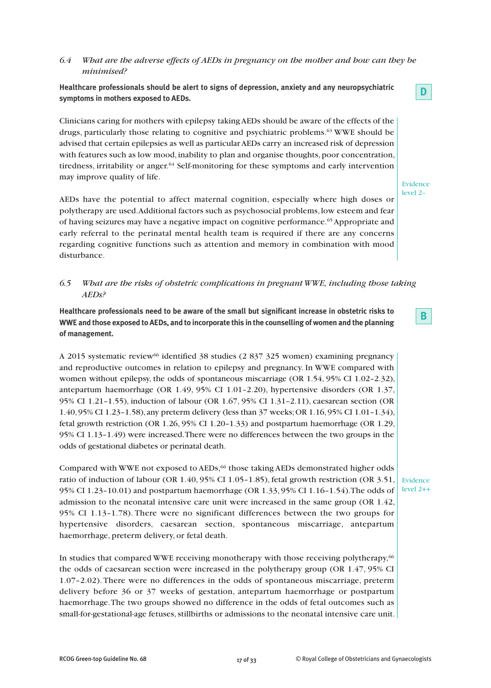# *6.4 What are the adverse effects of AEDs in pregnancy on the mother and how can they be minimised?*

**Healthcare professionals should be alert to signs of depression, anxiety and any neuropsychiatric symptoms in mothers exposed to AEDs.**

Clinicians caring for mothers with epilepsy takingAEDs should be aware of the effects of the drugs, particularly those relating to cognitive and psychiatric problems. <sup>63</sup> WWE should be advised that certain epilepsies as well as particularAEDs carry an increased risk of depression with features such as low mood, inability to plan and organise thoughts, poor concentration, tiredness, irritability or anger. <sup>64</sup> Self-monitoring for these symptoms and early intervention may improve quality of life.

AEDs have the potential to affect maternal cognition, especially where high doses or polytherapy are used.Additional factors such as psychosocial problems, low esteem and fear of having seizures may have a negative impact on cognitive performance. <sup>65</sup> Appropriate and early referral to the perinatal mental health team is required if there are any concerns regarding cognitive functions such as attention and memory in combination with mood disturbance.

# *6.5 What are the risks of obstetric complications in pregnant WWE, including those taking AEDs?*

**Healthcare professionals need to be aware of the small but significant increase in obstetric risks to** WWE and those exposed to AEDs, and to incorporate this in the counselling of women and the planning **of management.**

A 2015 systematic review66 identified 38 studies (2 837 325 women) examining pregnancy and reproductive outcomes in relation to epilepsy and pregnancy. In WWE compared with women without epilepsy, the odds of spontaneous miscarriage (OR 1.54, 95% CI 1.02–2.32), antepartum haemorrhage (OR 1.49, 95% CI 1.01–2.20), hypertensive disorders (OR 1.37, 95% CI 1.21–1.55), induction of labour (OR 1.67, 95% CI 1.31–2.11), caesarean section (OR 1.40,95% CI 1.23–1.58), any preterm delivery (less than 37 weeks;OR 1.16,95% CI 1.01–1.34), fetal growth restriction (OR 1.26, 95% CI 1.20–1.33) and postpartum haemorrhage (OR 1.29, 95% CI 1.13–1.49) were increased.There were no differences between the two groups in the odds of gestational diabetes or perinatal death.

Compared with WWE not exposed to AEDs,<sup>66</sup> those taking AEDs demonstrated higher odds ratio of induction of labour (OR  $1.40,95\%$  CI 1.05–1.85), fetal growth restriction (OR  $3.51$ , 95% CI 1.23–10.01) and postpartum haemorrhage (OR 1.33, 95% CI 1.16–1.54).The odds of admission to the neonatal intensive care unit were increased in the same group (OR 1.42, 95% CI 1.13–1.78). There were no significant differences between the two groups for hypertensive disorders, caesarean section, spontaneous miscarriage, antepartum haemorrhage, preterm delivery, or fetal death.

In studies that compared WWE receiving monotherapy with those receiving polytherapy,66 the odds of caesarean section were increased in the polytherapy group (OR 1.47, 95% CI 1.07–2.02). There were no differences in the odds of spontaneous miscarriage, preterm delivery before 36 or 37 weeks of gestation, antepartum haemorrhage or postpartum haemorrhage.The two groups showed no difference in the odds of fetal outcomes such as small-for-gestational-age fetuses, stillbirths or admissions to the neonatal intensive care unit.

Evidence level 2–

**D**

**B**

Evidence level 2++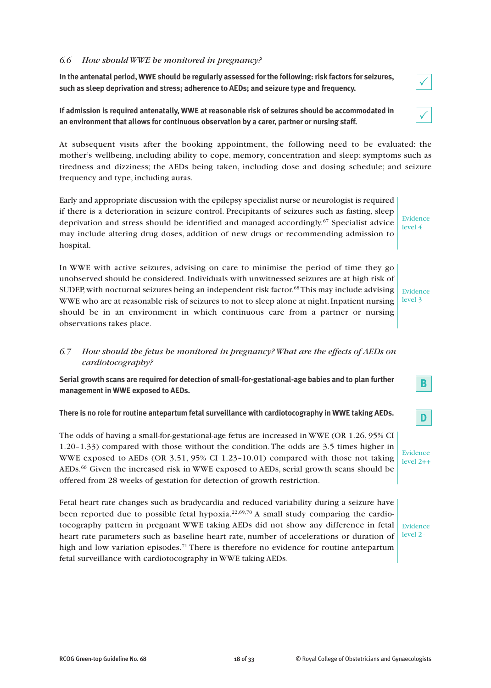### *6.6 How should WWE be monitored in pregnancy?*

**In the antenatal period, WWE should be regularly assessed for the following: risk factors for seizures, such as sleep deprivation and stress; adherence to AEDs; and seizure type and frequency.**

**If admission is required antenatally, WWE at reasonable risk of seizures should be accommodated in an environment that allows for continuous observation by a carer, partner or nursing staff.**

At subsequent visits after the booking appointment, the following need to be evaluated: the mother's wellbeing, including ability to cope, memory, concentration and sleep; symptoms such as tiredness and dizziness; the AEDs being taken, including dose and dosing schedule; and seizure frequency and type, including auras.

Early and appropriate discussion with the epilepsy specialist nurse or neurologist is required if there is a deterioration in seizure control. Precipitants of seizures such as fasting, sleep deprivation and stress should be identified and managed accordingly. <sup>67</sup> Specialist advice may include altering drug doses, addition of new drugs or recommending admission to hospital.

In WWE with active seizures, advising on care to minimise the period of time they go unobserved should be considered. Individuals with unwitnessed seizures are at high risk of SUDEP,with nocturnal seizures being an independent risk factor. 68This may include advising WWE who are at reasonable risk of seizures to not to sleep alone at night. Inpatient nursing should be in an environment in which continuous care from a partner or nursing observations takes place.

# *6.7 How should the fetus be monitored in pregnancy? What are the effects of AEDs on cardiotocography?*

**Serial growth scans are required for detection of small-for-gestational-age babies and to plan further management in WWE exposed to AEDs.**

#### **There is no role for routine antepartum fetal surveillance with cardiotocography in WWE taking AEDs.**

The odds of having a small-for-gestational-age fetus are increased in WWE (OR 1.26, 95% CI 1.20–1.33) compared with those without the condition.The odds are 3.5 times higher in WWE exposed to AEDs (OR 3.51, 95% CI 1.23–10.01) compared with those not taking AEDs. <sup>66</sup> Given the increased risk in WWE exposed to AEDs, serial growth scans should be offered from 28 weeks of gestation for detection of growth restriction.

Fetal heart rate changes such as bradycardia and reduced variability during a seizure have been reported due to possible fetal hypoxia.<sup>22,69,70</sup> A small study comparing the cardiotocography pattern in pregnant WWE taking AEDs did not show any difference in fetal heart rate parameters such as baseline heart rate, number of accelerations or duration of high and low variation episodes.<sup>71</sup> There is therefore no evidence for routine antepartum fetal surveillance with cardiotocography in WWE taking AEDs*.*

Evidence level 2–

|--|

|--|

Evidence level 4

Evidence level 3



**B**

Evidence level 2++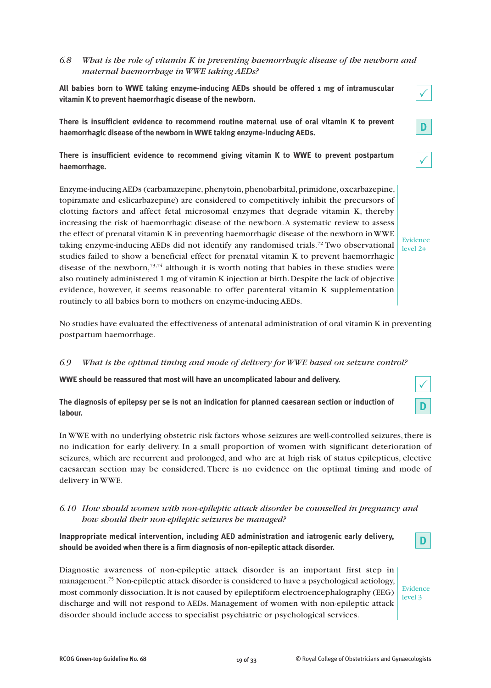# *6.8 What is the role of vitamin K in preventing haemorrhagic disease of the newborn and maternal haemorrhage in WWE taking AEDs?*

**All babies born to WWE taking enzyme-inducing AEDs should be offered 1 mg of intramuscular vitamin K to prevent haemorrhagic disease of the newborn.**

**There is insufficient evidence to recommend routine maternal use of oral vitamin K to prevent haemorrhagic disease of the newborn in WWE taking enzyme-inducing AEDs.**

**There is insufficient evidence to recommend giving vitamin K to WWE to prevent postpartum haemorrhage.**

Enzyme-inducing AEDs (carbamazepine, phenytoin, phenobarbital, primidone, oxcarbazepine, topiramate and eslicarbazepine) are considered to competitively inhibit the precursors of clotting factors and affect fetal microsomal enzymes that degrade vitamin K, thereby increasing the risk of haemorrhagic disease of the newborn.A systematic review to assess the effect of prenatal vitamin K in preventing haemorrhagic disease of the newborn inWWE taking enzyme-inducing AEDs did not identify any randomised trials. <sup>72</sup> Two observational studies failed to show a beneficial effect for prenatal vitamin K to prevent haemorrhagic disease of the newborn,<sup>73,74</sup> although it is worth noting that babies in these studies were also routinely administered 1 mg of vitamin K injection at birth.Despite the lack of objective evidence, however, it seems reasonable to offer parenteral vitamin K supplementation routinely to all babies born to mothers on enzyme-inducing AEDs.

No studies have evaluated the effectiveness of antenatal administration of oral vitamin K in preventing postpartum haemorrhage.

#### *6.9 What is the optimal timing and mode of delivery for WWE based on seizure control?*

**WWE should be reassured that most will have an uncomplicated labour and delivery.**

**The diagnosis of epilepsy per se is not an indication for planned caesarean section or induction of labour.**

In WWE with no underlying obstetric risk factors whose seizures are well-controlled seizures,there is no indication for early delivery. In a small proportion of women with significant deterioration of seizures, which are recurrent and prolonged, and who are at high risk of status epilepticus, elective caesarean section may be considered. There is no evidence on the optimal timing and mode of delivery in WWE.

# *6.10 How should women with non-epileptic attack disorder be counselled in pregnancy and how should their non-epileptic seizures be managed?*

**Inappropriate medical intervention, including AED administration and iatrogenic early delivery, should be avoided when there is a firm diagnosis of non-epileptic attack disorder.**

Diagnostic awareness of non-epileptic attack disorder is an important first step in management. <sup>75</sup> Non-epileptic attack disorder is considered to have a psychological aetiology, most commonly dissociation.It is not caused by epileptiform electroencephalography (EEG) discharge and will not respond to AEDs. Management of women with non-epileptic attack disorder should include access to specialist psychiatric or psychological services.

Evidence level 3



 $\checkmark$ 

|--|



**D**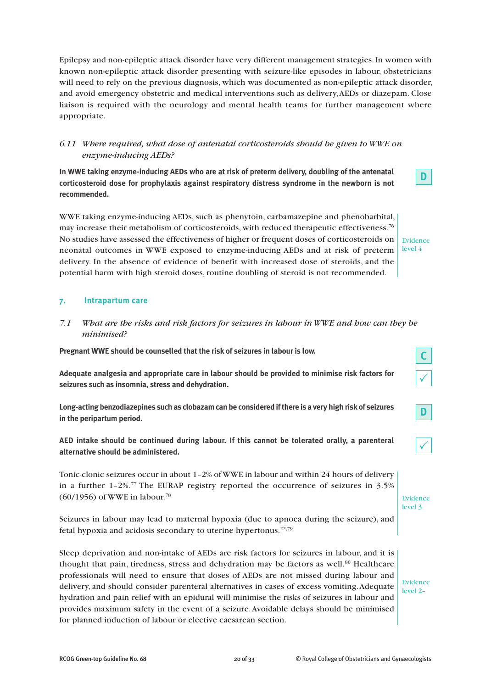Epilepsy and non-epileptic attack disorder have very different management strategies.In women with known non-epileptic attack disorder presenting with seizure-like episodes in labour, obstetricians will need to rely on the previous diagnosis, which was documented as non-epileptic attack disorder, and avoid emergency obstetric and medical interventions such as delivery,AEDs or diazepam. Close liaison is required with the neurology and mental health teams for further management where appropriate.

# *6.11 Where required, what dose of antenatal corticosteroids should be given to WWE on enzyme-inducing AEDs?*

**In WWE taking enzyme-inducing AEDs who are at risk of preterm delivery, doubling of the antenatal corticosteroid dose for prophylaxis against respiratory distress syndrome in the newborn is not recommended.**

WWE taking enzyme-inducing AEDs, such as phenytoin, carbamazepine and phenobarbital, may increase their metabolism of corticosteroids, with reduced therapeutic effectiveness.<sup>76</sup> No studies have assessed the effectiveness of higher or frequent doses of corticosteroids on neonatal outcomes in WWE exposed to enzyme-inducing AEDs and at risk of preterm delivery. In the absence of evidence of benefit with increased dose of steroids, and the potential harm with high steroid doses, routine doubling of steroid is not recommended.

Evidence level 4

**D**

# **7. Intrapartum care**

*7.1 What are the risks and risk factors for seizures in labour in WWE and how can they be minimised?*

**Pregnant WWE should be counselled that the risk of seizures in labour is low.**

**Adequate analgesia and appropriate care in labour should be provided to minimise risk factors for seizures such as insomnia, stress and dehydration.**

**Long-acting benzodiazepines such as clobazam can be considered ifthere is a very high risk of seizures in the peripartum period.**

**AED intake should be continued during labour. If this cannot be tolerated orally, a parenteral alternative should be administered.**

Tonic-clonic seizures occur in about 1–2% ofWWE in labour and within 24 hours of delivery in a further 1–2%. <sup>77</sup> The EURAP registry reported the occurrence of seizures in 3.5% (60/1956) of WWE in labour. 78

Seizures in labour may lead to maternal hypoxia (due to apnoea during the seizure), and fetal hypoxia and acidosis secondary to uterine hypertonus. 22,79

Sleep deprivation and non-intake of AEDs are risk factors for seizures in labour, and it is thought that pain, tiredness, stress and dehydration may be factors as well.<sup>80</sup> Healthcare professionals will need to ensure that doses of AEDs are not missed during labour and delivery, and should consider parenteral alternatives in cases of excess vomiting.Adequate hydration and pain relief with an epidural will minimise the risks of seizures in labour and provides maximum safety in the event of a seizure.Avoidable delays should be minimised for planned induction of labour or elective caesarean section. level 2–

**C**  $\checkmark$ 

**D**

|--|

Evidence level 3

Evidence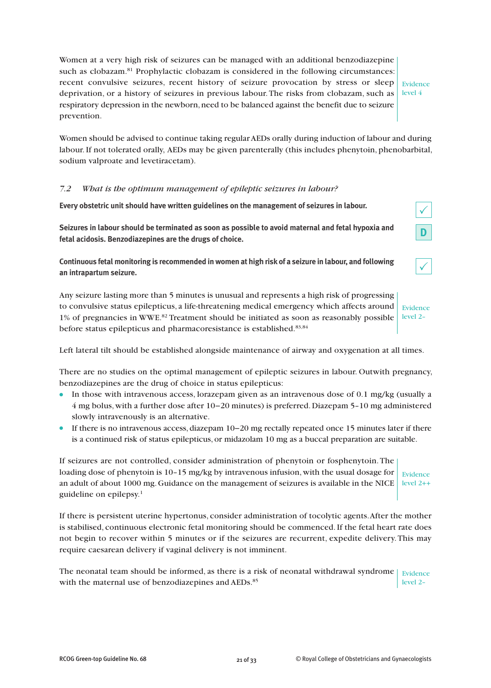Women at a very high risk of seizures can be managed with an additional benzodiazepine such as clobazam. <sup>81</sup> Prophylactic clobazam is considered in the following circumstances: recent convulsive seizures, recent history of seizure provocation by stress or sleep deprivation, or a history of seizures in previous labour. The risks from clobazam, such as  $\vert$  level 4 respiratory depression in the newborn, need to be balanced against the benefit due to seizure prevention.

Evidence

Women should be advised to continue taking regularAEDs orally during induction of labour and during labour.If not tolerated orally, AEDs may be given parenterally (this includes phenytoin, phenobarbital, sodium valproate and levetiracetam).

### *7.2 What is the optimum management of epileptic seizures in labour?*

**Every obstetric unit should have written guidelines on the management of seizures in labour.**

**Seizures in labour should be terminated as soon as possible to avoid maternal and fetal hypoxia and fetal acidosis. Benzodiazepines are the drugs of choice.**

**Continuous fetal monitoring is recommended in women at high risk of a seizure in labour, and following an intrapartum seizure.**

 $\checkmark$ 

 $\checkmark$ 

**D**

Any seizure lasting more than 5 minutes is unusual and represents a high risk of progressing to convulsive status epilepticus, a life-threatening medical emergency which affects around 1% of pregnancies in WWE. <sup>82</sup> Treatment should be initiated as soon as reasonably possible before status epilepticus and pharmacoresistance is established. 83,84 Evidence level 2–

Left lateral tilt should be established alongside maintenance of airway and oxygenation at all times.

There are no studies on the optimal management of epileptic seizures in labour. Outwith pregnancy, benzodiazepines are the drug of choice in status epilepticus:

- In those with intravenous access, lorazepam given as an intravenous dose of 0.1 mg/kg (usually a 4 mg bolus, with a further dose after 10−20 minutes) is preferred.Diazepam 5–10 mg administered slowly intravenously is an alternative.
- If there is no intravenous access, diazepam 10−20 mg rectally repeated once 15 minutes later if there is a continued risk of status epilepticus, or midazolam 10 mg as a buccal preparation are suitable.

If seizures are not controlled, consider administration of phenytoin or fosphenytoin.The loading dose of phenytoin is 10–15 mg/kg by intravenous infusion, with the usual dosage for an adult of about 1000 mg. Guidance on the management of seizures is available in the NICE  $\mid$  level 2++ guideline on epilepsy. 1 Evidence

If there is persistent uterine hypertonus, consider administration of tocolytic agents.After the mother is stabilised, continuous electronic fetal monitoring should be commenced.If the fetal heart rate does not begin to recover within 5 minutes or if the seizures are recurrent, expedite delivery.This may require caesarean delivery if vaginal delivery is not imminent.

The neonatal team should be informed, as there is a risk of neonatal withdrawal syndrome  $\frac{1}{10}$  Evidence with the maternal use of benzodiazepines and AEDs.<sup>85</sup> level 2–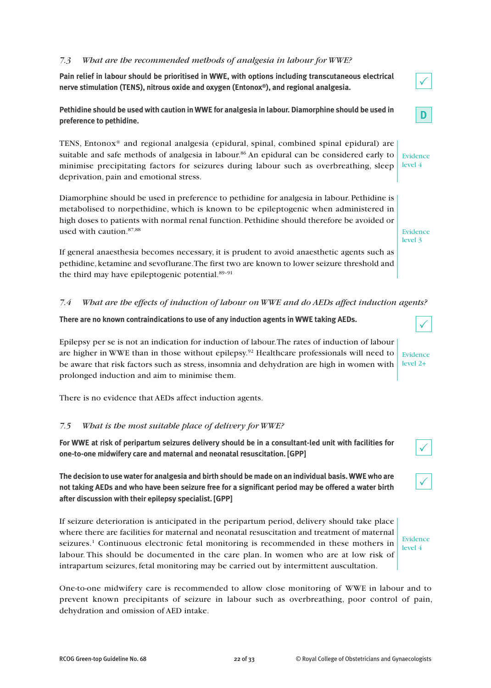#### *7.3 What are the recommended methods of analgesia in labour for WWE?*

**Pain relief in labour should be prioritised in WWE, with options including transcutaneous electrical nerve stimulation (TENS), nitrous oxide and oxygen (Entonox®), and regional analgesia.**

**Pethidine should be used with caution in WWE for analgesia in labour. Diamorphine should be used in preference to pethidine.**

TENS, Entonox® and regional analgesia (epidural, spinal, combined spinal epidural) are suitable and safe methods of analgesia in labour.<sup>86</sup> An epidural can be considered early to minimise precipitating factors for seizures during labour such as overbreathing, sleep deprivation, pain and emotional stress.

Diamorphine should be used in preference to pethidine for analgesia in labour. Pethidine is metabolised to norpethidine, which is known to be epileptogenic when administered in high doses to patients with normal renal function. Pethidine should therefore be avoided or used with caution. 87,88

If general anaesthesia becomes necessary, it is prudent to avoid anaesthetic agents such as pethidine, ketamine and sevoflurane.The first two are known to lower seizure threshold and the third may have epileptogenic potential. 89–91

*7.4 What are the effects of induction of labour on WWE and do AEDs affect induction agents?*

**There are no known contraindications to use of any induction agents in WWE taking AEDs.**

Epilepsy per se is not an indication for induction of labour.The rates of induction of labour are higher in WWE than in those without epilepsy. <sup>92</sup> Healthcare professionals will need to be aware that risk factors such as stress, insomnia and dehydration are high in women with prolonged induction and aim to minimise them. Evidence level 2+

There is no evidence that AEDs affect induction agents.

# *7.5 What is the most suitable place of delivery for WWE?*

**For WWE at risk of peripartum seizures delivery should be in a consultant-led unit with facilities for one-to-one midwifery care and maternal and neonatal resuscitation. [GPP]**

**The decision to use waterfor analgesia and birth should be made on an individual basis.WWE who are** not taking AEDs and who have been seizure free for a significant period may be offered a water birth **after discussion with their epilepsy specialist. [GPP]**

If seizure deterioration is anticipated in the peripartum period, delivery should take place where there are facilities for maternal and neonatal resuscitation and treatment of maternal seizures. <sup>1</sup> Continuous electronic fetal monitoring is recommended in these mothers in labour. This should be documented in the care plan. In women who are at low risk of intrapartum seizures, fetal monitoring may be carried out by intermittent auscultation.

One-to-one midwifery care is recommended to allow close monitoring of WWE in labour and to prevent known precipitants of seizure in labour such as overbreathing, poor control of pain, dehydration and omission of AED intake.



**D**



Evidence level 3

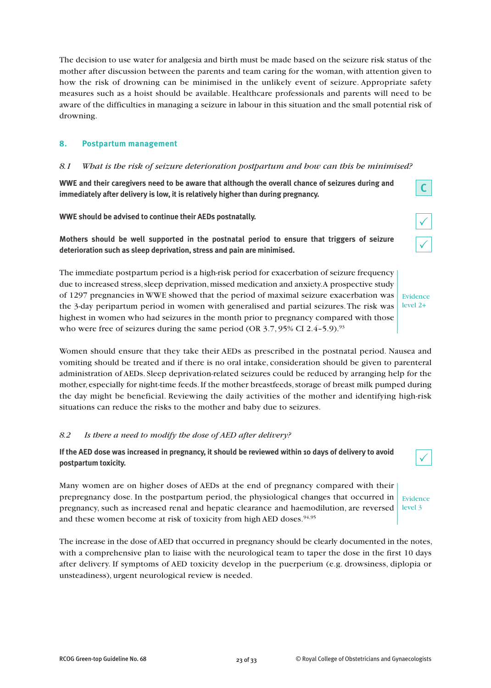The decision to use water for analgesia and birth must be made based on the seizure risk status of the mother after discussion between the parents and team caring for the woman, with attention given to how the risk of drowning can be minimised in the unlikely event of seizure. Appropriate safety measures such as a hoist should be available. Healthcare professionals and parents will need to be aware of the difficulties in managing a seizure in labour in this situation and the small potential risk of drowning.

# **8. Postpartum management**

### *8.1 What is the risk of seizure deterioration postpartum and how can this be minimised?*

**WWE and their caregivers need to be aware that although the overall chance of seizures during and immediately after delivery is low, it is relatively higher than during pregnancy.**

**WWE should be advised to continue their AEDs postnatally.**

**Mothers should be well supported in the postnatal period to ensure that triggers of seizure deterioration such as sleep deprivation, stress and pain are minimised.**

The immediate postpartum period is a high-risk period for exacerbation of seizure frequency due to increased stress, sleep deprivation, missed medication and anxiety.A prospective study of 1297 pregnancies in WWE showed that the period of maximal seizure exacerbation was the 3-day peripartum period in women with generalised and partial seizures.The risk was highest in women who had seizures in the month prior to pregnancy compared with those who were free of seizures during the same period (OR  $3.7,95\%$  CI 2.4-5.9).<sup>93</sup>

Women should ensure that they take their AEDs as prescribed in the postnatal period. Nausea and vomiting should be treated and if there is no oral intake, consideration should be given to parenteral administration of AEDs. Sleep deprivation-related seizures could be reduced by arranging help for the mother, especially for night-time feeds. If the mother breastfeeds, storage of breast milk pumped during the day might be beneficial. Reviewing the daily activities of the mother and identifying high-risk situations can reduce the risks to the mother and baby due to seizures.

#### *8.2 Is there a need to modify the dose of AED after delivery?*

If the AED dose was increased in pregnancy, it should be reviewed within 10 days of delivery to avoid **postpartum toxicity.**

Many women are on higher doses of AEDs at the end of pregnancy compared with their prepregnancy dose. In the postpartum period, the physiological changes that occurred in pregnancy, such as increased renal and hepatic clearance and haemodilution, are reversed and these women become at risk of toxicity from high AED doses.<sup>94,95</sup>

The increase in the dose ofAED that occurred in pregnancy should be clearly documented in the notes, with a comprehensive plan to liaise with the neurological team to taper the dose in the first 10 days after delivery. If symptoms of AED toxicity develop in the puerperium (e.g. drowsiness, diplopia or unsteadiness), urgent neurological review is needed.



Evidence level 3



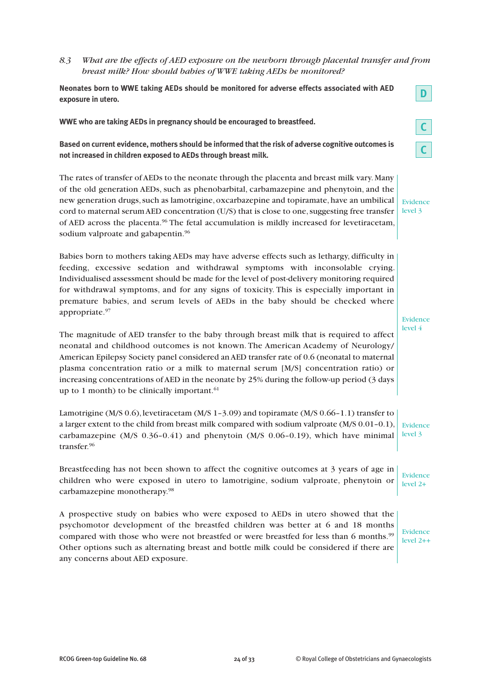# *8.3 What are the effects of AED exposure on the newborn through placental transfer and from breast milk? How should babies of WWE taking AEDs be monitored?*

**Neonates born to WWE taking AEDs should be monitored for adverse effects associated with AED exposure in utero.**

**WWE who are taking AEDs in pregnancy should be encouraged to breastfeed.**

**Based on current evidence, mothers should be informed that the risk of adverse cognitive outcomes is not increased in children exposed to AEDs through breast milk.**

The rates of transfer of AEDs to the neonate through the placenta and breast milk vary. Many of the old generation AEDs, such as phenobarbital, carbamazepine and phenytoin, and the new generation drugs, such as lamotrigine, oxcarbazepine and topiramate, have an umbilical cord to maternal serum AED concentration (U/S) that is close to one, suggesting free transfer of AED across the placenta. <sup>96</sup> The fetal accumulation is mildly increased for levetiracetam, sodium valproate and gabapentin.<sup>96</sup>

Babies born to mothers taking AEDs may have adverse effects such as lethargy, difficulty in feeding, excessive sedation and withdrawal symptoms with inconsolable crying. Individualised assessment should be made for the level of post-delivery monitoring required for withdrawal symptoms, and for any signs of toxicity. This is especially important in premature babies, and serum levels of AEDs in the baby should be checked where appropriate. 97

The magnitude of AED transfer to the baby through breast milk that is required to affect neonatal and childhood outcomes is not known. The American Academy of Neurology/ American Epilepsy Society panel considered anAED transfer rate of 0.6 (neonatal to maternal plasma concentration ratio or a milk to maternal serum [M/S] concentration ratio) or increasing concentrations ofAED in the neonate by 25% during the follow-up period (3 days up to 1 month) to be clinically important.<sup>61</sup>

Lamotrigine (M/S 0.6), levetiracetam (M/S 1–3.09) and topiramate (M/S 0.66–1.1) transfer to a larger extent to the child from breast milk compared with sodium valproate (M/S 0.01–0.1), carbamazepine (M/S 0.36–0.41) and phenytoin (M/S 0.06–0.19), which have minimal transfer. 96 Evidence level 3

Breastfeeding has not been shown to affect the cognitive outcomes at 3 years of age in children who were exposed in utero to lamotrigine, sodium valproate, phenytoin or carbamazepine monotherapy. 98 Evidence level 2+

A prospective study on babies who were exposed to AEDs in utero showed that the psychomotor development of the breastfed children was better at 6 and 18 months compared with those who were not breastfed or were breastfed for less than 6 months.<sup>99</sup> Other options such as alternating breast and bottle milk could be considered if there are any concerns about AED exposure.

Evidence level 2++

**C C**

**D**

Evidence level 3

Evidence level 4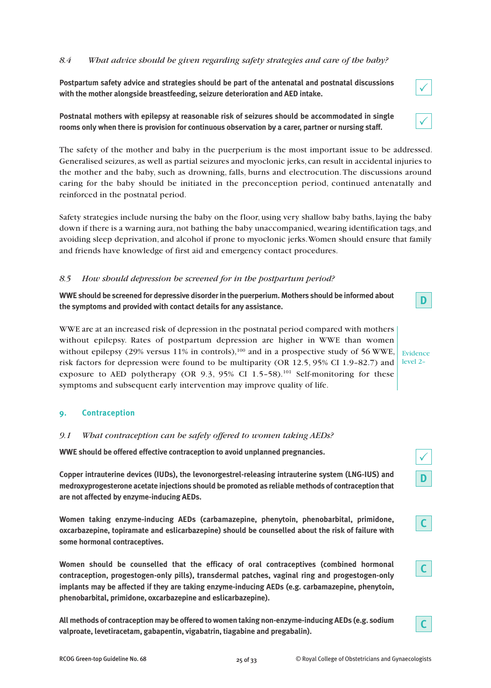# *8.4 What advice should be given regarding safety strategies and care of the baby?*

**Postpartum safety advice and strategies should be part of the antenatal and postnatal discussions with the mother alongside breastfeeding, seizure deterioration and AED intake.**

**Postnatal mothers with epilepsy at reasonable risk of seizures should be accommodated in single rooms only when there is provision for continuous observation by a carer, partner or nursing staff.**

The safety of the mother and baby in the puerperium is the most important issue to be addressed. Generalised seizures, as well as partial seizures and myoclonic jerks, can result in accidental injuries to the mother and the baby, such as drowning, falls, burns and electrocution.The discussions around caring for the baby should be initiated in the preconception period, continued antenatally and reinforced in the postnatal period.

Safety strategies include nursing the baby on the floor, using very shallow baby baths, laying the baby down if there is a warning aura, not bathing the baby unaccompanied, wearing identification tags, and avoiding sleep deprivation, and alcohol if prone to myoclonic jerks.Women should ensure that family and friends have knowledge of first aid and emergency contact procedures.

### *8.5 How should depression be screened for in the postpartum period?*

**WWE should be screened for depressive disorderin the puerperium. Mothers should be informed about the symptoms and provided with contact details for any assistance.**

WWE are at an increased risk of depression in the postnatal period compared with mothers without epilepsy. Rates of postpartum depression are higher in WWE than women without epilepsy  $(29\%$  versus 11% in controls),<sup>100</sup> and in a prospective study of 56 WWE, risk factors for depression were found to be multiparity (OR 12.5, 95% CI 1.9–82.7) and exposure to AED polytherapy (OR 9.3, 95% CI 1.5-58).<sup>101</sup> Self-monitoring for these symptoms and subsequent early intervention may improve quality of life. level 2–

# **9. Contraception**

#### *9.1 What contraception can be safely offered to women taking AEDs?*

**WWE should be offered effective contraception to avoid unplanned pregnancies.**

**Copper intrauterine devices (IUDs), the levonorgestrel-releasing intrauterine system (LNG-IUS) and medroxyprogesterone acetate injections should be promoted as reliable methods of contraception that are not affected by enzyme-inducing AEDs.**

**Women taking enzyme-inducing AEDs (carbamazepine, phenytoin, phenobarbital, primidone, oxcarbazepine, topiramate and eslicarbazepine) should be counselled about the risk of failure with some hormonal contraceptives.**

**Women should be counselled that the efficacy of oral contraceptives (combined hormonal contraception, progestogen-only pills), transdermal patches, vaginal ring and progestogen-only implants may be affected if they are taking enzyme-inducing AEDs (e.g. carbamazepine, phenytoin, phenobarbital, primidone, oxcarbazepine and eslicarbazepine).**

**All methods of contraception may be offered to women taking non-enzyme-inducing AEDs (e.g. sodium valproate, levetiracetam, gabapentin, vigabatrin, tiagabine and pregabalin).**

 $\checkmark$ 

| Ĉ |  |
|---|--|
|   |  |

**D**

Evidence





**C**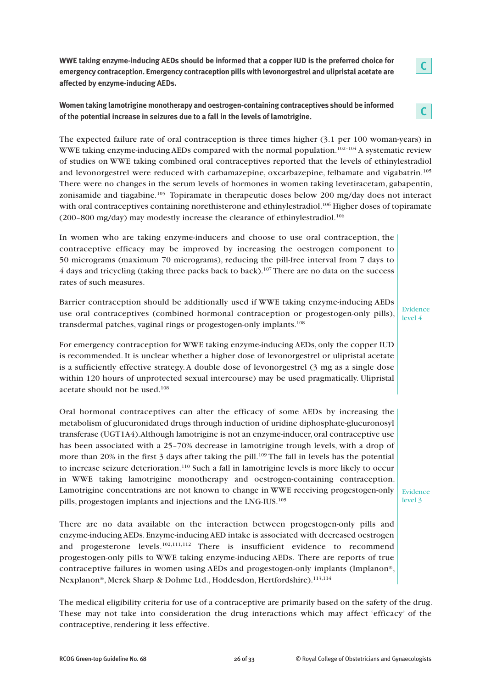**WWE taking enzyme-inducing AEDs should be informed that a copper IUD is the preferred choice for emergency contraception. Emergency contraception pills with levonorgestrel and ulipristal acetate are affected by enzyme-inducing AEDs.**

**Women taking lamotrigine monotherapy and oestrogen-containing contraceptives should be informed of the potential increase in seizures due to a fall in the levels of lamotrigine.**



In women who are taking enzyme-inducers and choose to use oral contraception, the contraceptive efficacy may be improved by increasing the oestrogen component to 50 micrograms (maximum 70 micrograms), reducing the pill-free interval from 7 days to 4 days and tricycling (taking three packs back to back). <sup>107</sup> There are no data on the success rates of such measures.

Barrier contraception should be additionally used if WWE taking enzyme-inducing AEDs use oral contraceptives (combined hormonal contraception or progestogen-only pills), transdermal patches, vaginal rings or progestogen-only implants. 108

For emergency contraception for WWE taking enzyme-inducing AEDs, only the copper IUD is recommended. It is unclear whether a higher dose of levonorgestrel or ulipristal acetate is a sufficiently effective strategy.A double dose of levonorgestrel (3 mg as a single dose within 120 hours of unprotected sexual intercourse) may be used pragmatically. Ulipristal acetate should not be used. 108

Oral hormonal contraceptives can alter the efficacy of some AEDs by increasing the metabolism of glucuronidated drugs through induction of uridine diphosphate-glucuronosyl transferase (UGT1A4).Although lamotrigine is not an enzyme-inducer,oral contraceptive use has been associated with a 25–70% decrease in lamotrigine trough levels, with a drop of more than 20% in the first 3 days after taking the pill.<sup>109</sup> The fall in levels has the potential to increase seizure deterioration. <sup>110</sup> Such a fall in lamotrigine levels is more likely to occur in WWE taking lamotrigine monotherapy and oestrogen-containing contraception. Lamotrigine concentrations are not known to change in WWE receiving progestogen-only pills, progestogen implants and injections and the LNG-IUS. 105

There are no data available on the interaction between progestogen-only pills and enzyme-inducing AEDs. Enzyme-inducing AED intake is associated with decreased oestrogen and progesterone levels.<sup>102,111,112</sup> There is insufficient evidence to recommend progestogen-only pills to WWE taking enzyme-inducing AEDs. There are reports of true contraceptive failures in women using AEDs and progestogen-only implants (Implanon**®**, Nexplanon®, Merck Sharp & Dohme Ltd., Hoddesdon, Hertfordshire). 113,114

The medical eligibility criteria for use of a contraceptive are primarily based on the safety of the drug. These may not take into consideration the drug interactions which may affect 'efficacy' of the contraceptive, rendering it less effective.

**C**

Evidence level 4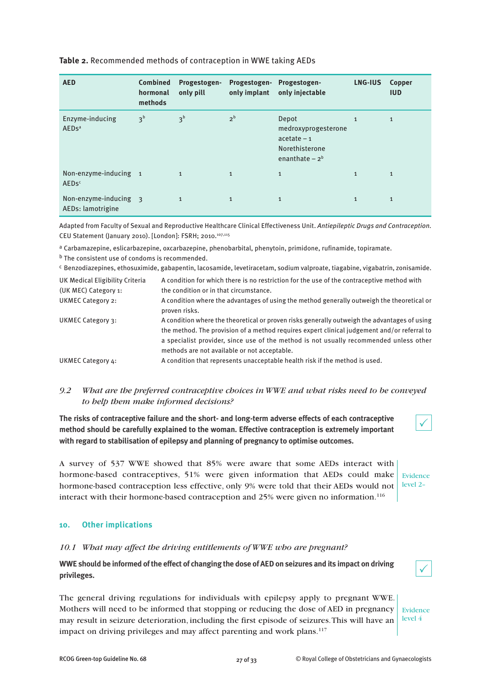| <b>AED</b>                                      | <b>Combined</b><br>hormonal<br>methods | Progestogen-<br>only pill | Progestogen-<br>only implant | Progestogen-<br>only injectable                                                     | LNG-IUS      | Copper<br><b>IUD</b> |
|-------------------------------------------------|----------------------------------------|---------------------------|------------------------------|-------------------------------------------------------------------------------------|--------------|----------------------|
| Enzyme-inducing<br>AED <sub>s<sup>a</sup></sub> | 3 <sup>b</sup>                         | 3 <sup>b</sup>            | 2 <sup>b</sup>               | Depot<br>medroxyprogesterone<br>$acetate - 1$<br>Norethisterone<br>enanthate $-2^b$ | $\mathbf{1}$ | $\mathbf{1}$         |
| Non-enzyme-inducing 1<br><b>AEDsc</b>           |                                        | $\mathbf{1}$              | $\mathbf{1}$                 | $\mathbf{1}$                                                                        | $\mathbf{1}$ | $\mathbf{1}$         |
| Non-enzyme-inducing 3<br>AEDs: lamotrigine      |                                        | $\mathbf{1}$              | $\mathbf{1}$                 | $\mathbf{1}$                                                                        | $\mathbf{1}$ | $\mathbf{1}$         |

# **Table 2.** Recommended methods of contraception in WWE taking AEDs

Adapted from Faculty of Sexual and Reproductive Healthcare Clinical Effectiveness Unit. *Antiepileptic Drugs and Contraception.* CEU Statement (January 2010). [London]: FSRH: 2010.<sup>107,115</sup>

a Carbamazepine, eslicarbazepine, oxcarbazepine, phenobarbital, phenytoin, primidone, rufinamide, topiramate. b The consistent use of condoms is recommended.

c Benzodiazepines, ethosuximide, gabapentin, lacosamide, levetiracetam, sodium valproate, tiagabine, vigabatrin, zonisamide.

| UK Medical Eligibility Criteria | A condition for which there is no restriction for the use of the contraceptive method with                                                                                                                                                                                                                                            |
|---------------------------------|---------------------------------------------------------------------------------------------------------------------------------------------------------------------------------------------------------------------------------------------------------------------------------------------------------------------------------------|
| (UK MEC) Category 1:            | the condition or in that circumstance.                                                                                                                                                                                                                                                                                                |
| <b>UKMEC Category 2:</b>        | A condition where the advantages of using the method generally outweigh the theoretical or<br>proven risks.                                                                                                                                                                                                                           |
| UKMEC Category 3:               | A condition where the theoretical or proven risks generally outweigh the advantages of using<br>the method. The provision of a method requires expert clinical judgement and/or referral to<br>a specialist provider, since use of the method is not usually recommended unless other<br>methods are not available or not acceptable. |
| UKMEC Category 4:               | A condition that represents unacceptable health risk if the method is used.                                                                                                                                                                                                                                                           |

# *9.2 What are the preferred contraceptive choices in WWE and what risks need to be conveyed to help them make informed decisions?*

**The risks of contraceptive failure and the short- and long-term adverse effects of each contraceptive method should be carefully explained to the woman. Effective contraception is extremely important with regard to stabilisation of epilepsy and planning of pregnancy to optimise outcomes.**

A survey of 537 WWE showed that 85% were aware that some AEDs interact with hormone-based contraceptives, 51% were given information that AEDs could make hormone-based contraception less effective, only 9% were told that their AEDs would not interact with their hormone-based contraception and 25% were given no information. 116

#### **10. Other implications**

#### *10.1 What may affect the driving entitlements of WWE who are pregnant?*

WWE should be informed of the effect of changing the dose of AED on seizures and its impact on driving **privileges.**

The general driving regulations for individuals with epilepsy apply to pregnant WWE. Mothers will need to be informed that stopping or reducing the dose of AED in pregnancy may result in seizure deterioration, including the first episode of seizures.This will have an impact on driving privileges and may affect parenting and work plans.<sup>117</sup>

Evidence level 4

 $\checkmark$ 

 $\checkmark$ 

Evidence level 2–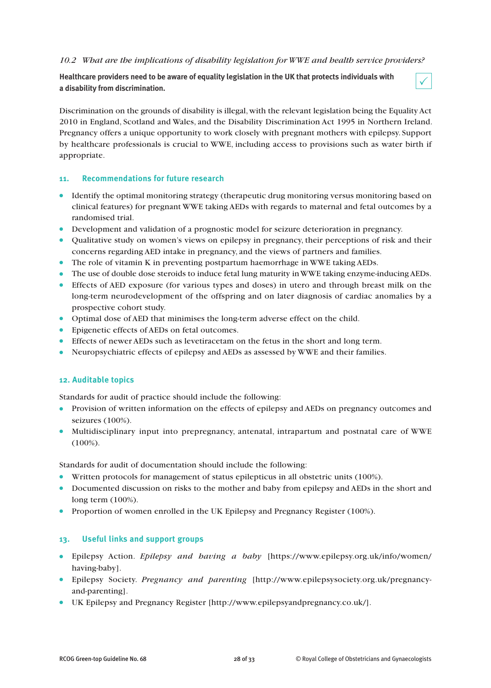# *10.2 What are the implications of disability legislation for WWE and health service providers?*

**Healthcare providers need to be aware of equality legislation in the UK that protects individuals with a disability from discrimination.**



Discrimination on the grounds of disability is illegal, with the relevant legislation being the Equality Act 2010 in England, Scotland and Wales, and the Disability Discrimination Act 1995 in Northern Ireland. Pregnancy offers a unique opportunity to work closely with pregnant mothers with epilepsy. Support by healthcare professionals is crucial to WWE, including access to provisions such as water birth if appropriate.

#### **11. Recommendations for future research**

- Identify the optimal monitoring strategy (therapeutic drug monitoring versus monitoring based on clinical features) for pregnant WWE taking AEDs with regards to maternal and fetal outcomes by a randomised trial.
- Development and validation of a prognostic model for seizure deterioration in pregnancy.
- Qualitative study on women's views on epilepsy in pregnancy, their perceptions of risk and their concerns regarding AED intake in pregnancy, and the views of partners and families.
- The role of vitamin K in preventing postpartum haemorrhage in WWE taking AEDs.
- The use of double dose steroids to induce fetal lung maturity inWWE taking enzyme-inducingAEDs.
- Effects of AED exposure (for various types and doses) in utero and through breast milk on the long-term neurodevelopment of the offspring and on later diagnosis of cardiac anomalies by a prospective cohort study.
- Optimal dose of AED that minimises the long-term adverse effect on the child.
- Epigenetic effects of AEDs on fetal outcomes.
- Effects of newer AEDs such as levetiracetam on the fetus in the short and long term.
- Neuropsychiatric effects of epilepsy and AEDs as assessed by WWE and their families.

#### **12. Auditable topics**

Standards for audit of practice should include the following:

- Provision of written information on the effects of epilepsy and AEDs on pregnancy outcomes and seizures (100%).
- Multidisciplinary input into prepregnancy, antenatal, intrapartum and postnatal care of WWE (100%).

Standards for audit of documentation should include the following:

- Written protocols for management of status epilepticus in all obstetric units (100%).
- Documented discussion on risks to the mother and baby from epilepsy and AEDs in the short and long term (100%).
- Proportion of women enrolled in the UK Epilepsy and Pregnancy Register (100%).

#### **13. Useful links and support groups**

- Epilepsy Action. *Epilepsy and having a baby* [https://www.epilepsy.org.uk/info/women/ having-baby].
- Epilepsy Society. *Pregnancy and parenting* [http://www.epilepsysociety.org.uk/pregnancyand-parenting].
- UK Epilepsy and Pregnancy Register [http://www.epilepsyandpregnancy.co.uk/].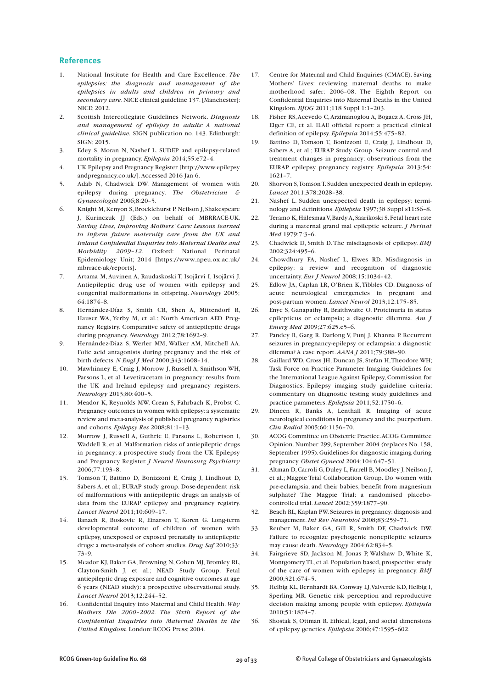#### **References**

- 1. National Institute for Health and Care Excellence. *The epilepsies: the diagnosis and management of the epilepsies in adults and children in primary and secondary care*.NICE clinical guideline 137.[Manchester]: NICE; 2012.
- 2. Scottish Intercollegiate Guidelines Network. *Diagnosis and management of epilepsy in adults: A national clinical guideline.* SIGN publication no. 143. Edinburgh: SIGN; 2015.
- 3. Edey S, Moran N, Nashef L. SUDEP and epilepsy-related mortality in pregnancy. *Epilepsia* 2014;55:e72–4.
- 4. UK Epilepsy and Pregnancy Register [http://www.epilepsy andpregnancy.co.uk/].Accessed 2016 Jan 6.
- 5. Adab N, Chadwick DW. Management of women with epilepsy during pregnancy. *The Obstetrician & Gynaecologist* 2006;8:20–5.
- 6. Knight M,Kenyon S, Brocklehurst P, Neilson J, Shakespeare J, Kurinczuk JJ (Eds.) on behalf of MBRRACE-UK. *Saving Lives, Improving Mothers' Care: Lessons learned to inform future maternity care from the UK and Ireland Confidential Enquiries into Maternal Deaths and Morbidity 2009–12*. Oxford: National Perinatal Epidemiology Unit; 2014 [https://www.npeu.ox.ac.uk/ mbrrace-uk/reports].
- 7. Artama M, Auvinen A, Raudaskoski T, Isojärvi I, Isojärvi J. Antiepileptic drug use of women with epilepsy and congenital malformations in offspring. *Neurology* 2005; 64:1874–8.
- 8. Hernández-Díaz S, Smith CR, Shen A, Mittendorf R, Hauser WA, Yerby M, et al.; North American AED Pregnancy Registry. Comparative safety of antiepileptic drugs during pregnancy. *Neurology* 2012;78:1692–9.
- 9. Hernández-Díaz S, Werler MM, Walker AM, Mitchell AA. Folic acid antagonists during pregnancy and the risk of birth defects. *N Engl J Med* 2000;343:1608–14.
- 10. Mawhinney E, Craig J, Morrow J, Russell A, Smithson WH, Parsons L, et al. Levetiracetam in pregnancy: results from the UK and Ireland epilepsy and pregnancy registers. *Neurology* 2013;80:400–5.
- 11. Meador K, Reynolds MW, Crean S, Fahrbach K, Probst C. Pregnancy outcomes in women with epilepsy: a systematic review and meta-analysis of published pregnancy registries and cohorts. *Epilepsy Res* 2008;81:1–13.
- 12. Morrow J, Russell A, Guthrie E, Parsons L, Robertson I, Waddell R, et al. Malformation risks of antiepileptic drugs in pregnancy: a prospective study from the UK Epilepsy and Pregnancy Register. *J Neurol Neurosurg Psychiatry* 2006;77:193–8.
- 13. Tomson T, Battino D, Bonizzoni E, Craig J, Lindhout D, Sabers A, et al.; EURAP study group. Dose-dependent risk of malformations with antiepileptic drugs: an analysis of data from the EURAP epilepsy and pregnancy registry. *Lancet Neurol* 2011;10:609–17.
- 14. Banach R, Boskovic R, Einarson T, Koren G. Long-term developmental outcome of children of women with epilepsy, unexposed or exposed prenatally to antiepileptic drugs: a meta-analysis of cohort studies. *Drug Saf* 2010;33: 73–9.
- 15. Meador KJ, Baker GA, Browning N, Cohen MJ, Bromley RL, Clayton-Smith J, et al.; NEAD Study Group. Fetal antiepileptic drug exposure and cognitive outcomes at age 6 years (NEAD study): a prospective observational study. *Lancet Neurol* 2013;12:244–52.
- 16. Confidential Enquiry into Maternal and Child Health. *Why Mothers Die 2000–2002. The Sixth Report of the Confidential Enquiries into Maternal Deaths in the United Kingdom*. London: RCOG Press; 2004.
- 17. Centre for Maternal and Child Enquiries (CMACE). Saving Mothers' Lives: reviewing maternal deaths to make motherhood safer: 2006–08. The Eighth Report on Confidential Enquiries into Maternal Deaths in the United Kingdom. *BJOG* 2011;118 Suppl 1:1–203.
- 18. Fisher RS,Acevedo C,Arzimanoglou A, Bogacz A, Cross JH, Elger CE, et al. ILAE official report: a practical clinical definition of epilepsy. *Epilepsia* 2014;55:475–82.
- 19. Battino D, Tomson T, Bonizzoni E, Craig J, Lindhout D, Sabers A, et al.; EURAP Study Group. Seizure control and treatment changes in pregnancy: observations from the EURAP epilepsy pregnancy registry. *Epilepsia* 2013;54: 1621–7.
- 20. Shorvon S,TomsonT. Sudden unexpected death in epilepsy. *Lancet* 2011;378:2028–38.
- 21. Nashef L. Sudden unexpected death in epilepsy: terminology and definitions. *Epilepsia* 1997;38 Suppl s11:S6–8.
- 22. Teramo K,HiilesmaaV,BardyA, Saarikoski S. Fetal heart rate during a maternal grand mal epileptic seizure. *J Perinat Med* 1979;7:3–6.
- 23. Chadwick D, Smith D.The misdiagnosis of epilepsy. *BMJ* 2002;324:495–6.
- 24. Chowdhury FA, Nashef L, Elwes RD. Misdiagnosis in epilepsy: a review and recognition of diagnostic uncertainty. *Eur J Neurol* 2008;15:1034–42.
- 25. Edlow JA, Caplan LR, O'Brien K,Tibbles CD. Diagnosis of acute neurological emergencies in pregnant and post-partum women. *Lancet Neurol* 2013;12:175–85.
- 26. Enye S, Ganapathy R, Braithwaite O. Proteinuria in status epilepticus or eclampsia; a diagnostic dilemma. *Am J Emerg Med* 2009;27:625.e5–6.
- 27. Pandey R, Garg R, Darlong V, Punj J, Khanna P. Recurrent seizures in pregnancy-epilepsy or eclampsia: a diagnostic dilemma? A case report. *AANA J* 2011;79:388–90.
- 28. Gaillard WD, Cross JH, Duncan JS, Stefan H,Theodore WH; Task Force on Practice Parameter Imaging Guidelines for the International League Against Epilepsy, Commission for Diagnostics. Epilepsy imaging study guideline criteria: commentary on diagnostic testing study guidelines and practice parameters. *Epilepsia* 2011;52:1750–6.
- 29. Dineen R, Banks A, Lenthall R. Imaging of acute neurological conditions in pregnancy and the puerperium. *Clin Radiol* 2005;60:1156–70.
- 30. ACOG Committee on Obstetric Practice.ACOG Committee Opinion. Number 299, September 2004 (replaces No. 158, September 1995).Guidelines for diagnostic imaging during pregnancy. *Obstet Gynecol* 2004;104:647–51.
- 31. Altman D, Carroli G, Duley L, Farrell B, Moodley J, Neilson J, et al.; Magpie Trial Collaboration Group. Do women with pre-eclampsia, and their babies, benefit from magnesium sulphate? The Magpie Trial: a randomised placebocontrolled trial. *Lancet* 2002;359:1877–90.
- 32. Beach RL,Kaplan PW. Seizures in pregnancy: diagnosis and management. *Int Rev Neurobiol* 2008;83:259–71.
- 33. Reuber M, Baker GA, Gill R, Smith DF, Chadwick DW. Failure to recognize psychogenic nonepileptic seizures may cause death. *Neurology* 2004;62:834–5.
- 34. Fairgrieve SD, Jackson M, Jonas P, Walshaw D, White K, Montgomery TL, et al. Population based, prospective study of the care of women with epilepsy in pregnancy. *BMJ* 2000;321:674–5.
- 35. Helbig KL, Bernhardt BA,Conway LJ,Valverde KD, Helbig I, Sperling MR. Genetic risk perception and reproductive decision making among people with epilepsy. *Epilepsia* 2010;51:1874–7.
- 36. Shostak S, Ottman R. Ethical, legal, and social dimensions of epilepsy genetics. *Epilepsia* 2006;47:1595–602.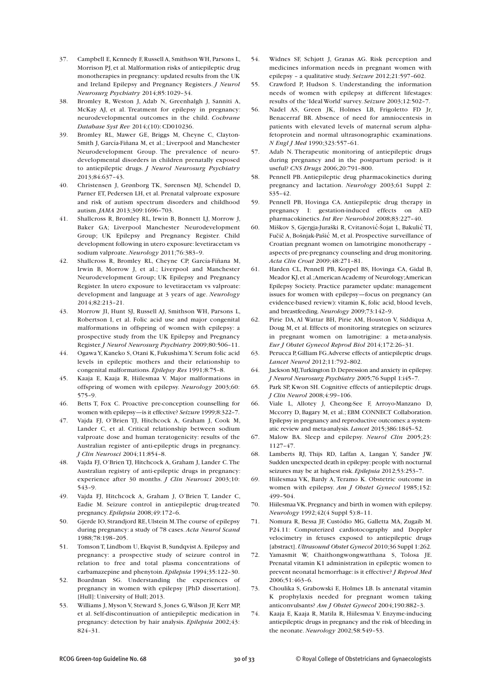- 37. Campbell E, Kennedy F, Russell A, Smithson WH, Parsons L, Morrison PJ, et al. Malformation risks of antiepileptic drug monotherapies in pregnancy: updated results from the UK and Ireland Epilepsy and Pregnancy Registers. *J Neurol Neurosurg Psychiatry* 2014;85:1029–34.
- 38. Bromley R, Weston J, Adab N, Greenhalgh J, Sanniti A, McKay AJ, et al. Treatment for epilepsy in pregnancy: neurodevelopmental outcomes in the child. *Cochrane Database Syst Rev* 2014;(10): CD010236.
- 39. Bromley RL, Mawer GE, Briggs M, Cheyne C, Clayton-Smith J, García-Fiñana M, et al.; Liverpool and Manchester Neurodevelopment Group. The prevalence of neurodevelopmental disorders in children prenatally exposed to antiepileptic drugs. *J Neurol Neurosurg Psychiatry* 2013;84:637–43.
- 40. Christensen J, Grønborg TK, Sørensen MJ, Schendel D, Parner ET, Pedersen LH, et al. Prenatal valproate exposure and risk of autism spectrum disorders and childhood autism.*JAMA* 2013;309:1696–703.
- 41. Shallcross R, Bromley RL, Irwin B, Bonnett LJ, Morrow J, Baker GA; Liverpool Manchester Neurodevelopment Group; UK Epilepsy and Pregnancy Register. Child development following in utero exposure:levetiracetam vs sodium valproate. *Neurology* 2011;76:383–9.
- 42. Shallcross R, Bromley RL, Cheyne CP, García-Fiñana M, Irwin B, Morrow J, et al.; Liverpool and Manchester Neurodevelopment Group; UK Epilepsy and Pregnancy Register. In utero exposure to levetiracetam vs valproate: development and language at 3 years of age. *Neurology* 2014;82:213–21.
- 43. Morrow JI, Hunt SJ, Russell AJ, Smithson WH, Parsons L, Robertson I, et al. Folic acid use and major congenital malformations in offspring of women with epilepsy: a prospective study from the UK Epilepsy and Pregnancy Register.*J Neurol Neurosurg Psychiatry* 2009;80:506–11.
- 44. Ogawa Y,Kaneko S, Otani K, Fukushima Y. Serum folic acid levels in epileptic mothers and their relationship to congenital malformations. *Epilepsy Res* 1991;8:75–8.
- 45. Kaaja E, Kaaja R, Hiilesmaa V. Major malformations in offspring of women with epilepsy. *Neurology* 2003;60: 575–9.
- 46. Betts T, Fox C. Proactive pre-conception counselling for women with epilepsy—is it effective? *Seizure* 1999;8:322–7.
- 47. Vajda FJ, O'Brien TJ, Hitchcock A, Graham J, Cook M, Lander C, et al. Critical relationship between sodium valproate dose and human teratogenicity: results of the Australian register of anti-epileptic drugs in pregnancy. *J Clin Neurosci* 2004;11:854–8.
- 48. Vajda FJ, O'Brien TJ, Hitchcock A, Graham J, Lander C.The Australian registry of anti-epileptic drugs in pregnancy: experience after 30 months. *J Clin Neurosci* 2003;10: 543–9.
- 49. Vajda FJ, Hitchcock A, Graham J, O'Brien T, Lander C, Eadie M. Seizure control in antiepileptic drug-treated pregnancy. *Epilepsia* 2008;49:172–6.
- 50. Gjerde IO, Strandjord RE,Ulstein M.The course of epilepsy during pregnancy: a study of 78 cases. *Acta Neurol Scand* 1988;78:198–205.
- 51. Tomson T, Lindbom U, Ekqvist B, Sundqvist A. Epilepsy and pregnancy: a prospective study of seizure control in relation to free and total plasma concentrations of carbamazepine and phenytoin. *Epilepsia* 1994;35:122–30.
- 52. Boardman SG. Understanding the experiences of pregnancy in women with epilepsy [PhD dissertation]. [Hull]: University of Hull; 2013.
- 53. Williams J, Myson V, Steward S, Jones G,Wilson JF, Kerr MP, et al. Self-discontinuation of antiepileptic medication in pregnancy: detection by hair analysis. *Epilepsia* 2002;43: 824–31.
- 54. Widnes SF, Schjøtt J, Granas AG. Risk perception and medicines information needs in pregnant women with epilepsy – a qualitative study. *Seizure* 2012;21:597–602.
- 55. Crawford P, Hudson S. Understanding the information needs of women with epilepsy at different lifestages: results of the 'Ideal World'survey. *Seizure* 2003;12:502–7.
- 56. Nadel AS, Green JK, Holmes LB, Frigoletto FD Jr, Benacerraf BR. Absence of need for amniocentesis in patients with elevated levels of maternal serum alphafetoprotein and normal ultrasonographic examinations. *N Engl J Med* 1990;323:557–61.
- 57. Adab N. Therapeutic monitoring of antiepileptic drugs during pregnancy and in the postpartum period: is it useful? *CNS Drugs* 2006;20:791–800.
- 58. Pennell PB. Antiepileptic drug pharmacokinetics during pregnancy and lactation. *Neurology* 2003;61 Suppl 2: S35–42.
- 59. Pennell PB, Hovinga CA. Antiepileptic drug therapy in pregnancy I: gestation-induced effects on AED pharmacokinetics. *Int Rev Neurobiol* 2008;83:227–40.
- 60. Miškov S, Gjergja-Juraški R, Cvitanović-Šojat L, Bakulić TI, Fučič A, Bošnjak-Pašić M, et al. Prospective surveillance of Croatian pregnant women on lamotrigine monotherapy – aspects of pre-pregnancy counseling and drug monitoring. *Acta Clin Croat* 2009;48:271–81.
- 61. Harden CL, Pennell PB, Koppel BS, Hovinga CA, Gidal B, Meador KJ, et al.; American Academy of Neurology; American Epilepsy Society. Practice parameter update: management issues for women with epilepsy—focus on pregnancy (an evidence-based review): vitamin K, folic acid, blood levels, and breastfeeding.*Neurology* 2009;73:142–9.
- 62. Pirie DA, Al Wattar BH, Pirie AM, Houston V, Siddiqua A, Doug M, et al. Effects of monitoring strategies on seizures in pregnant women on lamotrigine: a meta-analysis. *Eur J Obstet Gynecol Reprod Biol* 2014;172:26–31.
- 63. Perucca P,Gilliam FG.Adverse effects of antiepileptic drugs. *Lancet Neurol* 2012;11:792–802.
- 64. Jackson MJ,Turkington D.Depression and anxiety in epilepsy. *J Neurol Neurosurg Psychiatry* 2005;76 Suppl 1:i45–7.
- 65. Park SP, Kwon SH. Cognitive effects of antiepileptic drugs. *J Clin Neurol* 2008;4:99–106.
- 66. Viale L, Allotey J, Cheong-See F, Arroyo-Manzano D, Mccorry D, Bagary M, et al.; EBM CONNECT Collaboration. Epilepsy in pregnancy and reproductive outcomes:a systematic review and meta-analysis. *Lancet* 2015;386:1845–52.
- 67. Malow BA. Sleep and epilepsy. *Neurol Clin* 2005;23: 1127–47.
- 68. Lamberts RJ, Thijs RD, Laffan A, Langan Y, Sander JW. Sudden unexpected death in epilepsy: people with nocturnal seizures may be at highest risk. *Epilepsia* 2012;53:253–7.
- 69. Hiilesmaa VK, Bardy A, Teramo K. Obstetric outcome in women with epilepsy. *Am J Obstet Gynecol* 1985;152: 499–504.
- 70. HiilesmaaVK.Pregnancy and birth in women with epilepsy. *Neurology* 1992;42(4 Suppl 5):8–11.
- 71. Nomura R, Bessa JF, Custódio MG, Galletta MA, Zugaib M. P24.11: Computerized cardiotocography and Doppler velocimetry in fetuses exposed to antiepileptic drugs [abstract].*Ultrasound Obstet Gynecol* 2010;36 Suppl 1:262.
- 72. Yamasmit W, Chaithongwongwatthana S, Tolosa JE. Prenatal vitamin K1 administration in epileptic women to prevent neonatal hemorrhage: is it effective? *J Reprod Med* 2006;51:463–6.
- 73. Choulika S, Grabowski E, Holmes LB. Is antenatal vitamin K prophylaxis needed for pregnant women taking anticonvulsants? *Am J Obstet Gynecol* 2004;190:882–3.
- 74. Kaaja E, Kaaja R, Matila R, Hiilesmaa V. Enzyme-inducing antiepileptic drugs in pregnancy and the risk of bleeding in the neonate. *Neurology* 2002;58:549–53.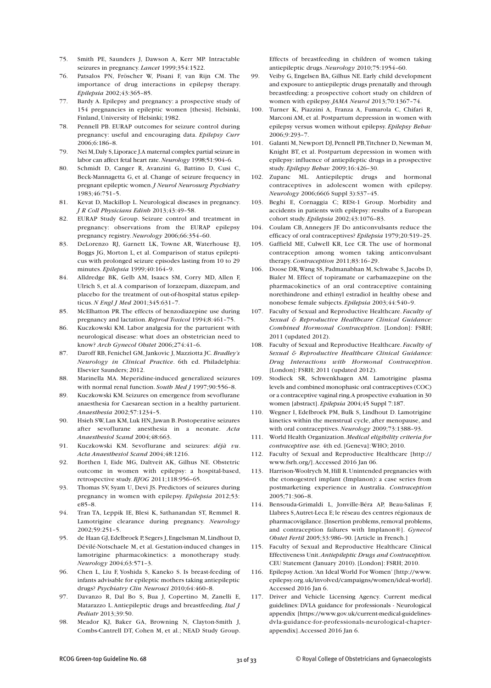- 75. Smith PE, Saunders J, Dawson A, Kerr MP. Intractable seizures in pregnancy. *Lancet* 1999;354:1522.
- 76. Patsalos PN, Fröscher W, Pisani F, van Rijn CM. The importance of drug interactions in epilepsy therapy. *Epilepsia* 2002;43:365–85.
- 77. Bardy A. Epilepsy and pregnancy: a prospective study of 154 pregnancies in epileptic women [thesis]. Helsinki, Finland, University of Helsinki; 1982.
- 78. Pennell PB. EURAP outcomes for seizure control during pregnancy: useful and encouraging data. *Epilepsy Curr* 2006;6:186–8.
- 79. Nei M,Daly S,Liporace J.A maternal complex partial seizure in labor can affect fetal heart rate.*Neurology* 1998;51:904–6.
- 80. Schmidt D, Canger R, Avanzini G, Battino D, Cusi C, Beck-Mannagetta G, et al. Change of seizure frequency in pregnant epileptic women.*J Neurol Neurosurg Psychiatry* 1983;46:751–5.
- 81. Kevat D, Mackillop L. Neurological diseases in pregnancy. *J R Coll Physicians Edinb* 2013;43:49–58.
- 82. EURAP Study Group. Seizure control and treatment in pregnancy: observations from the EURAP epilepsy pregnancy registry. *Neurology* 2006;66:354–60.
- 83. DeLorenzo RJ, Garnett LK, Towne AR, Waterhouse EJ, Boggs JG, Morton L, et al. Comparison of status epilepticus with prolonged seizure episodes lasting from 10 to 29 minutes. *Epilepsia* 1999;40:164–9.
- 84. Alldredge BK, Gelb AM, Isaacs SM, Corry MD, Allen F, Ulrich S, et al.A comparison of lorazepam, diazepam, and placebo for the treatment of out-of-hospital status epilepticus. *N Engl J Med* 2001;345:631–7.
- 85. McElhatton PR.The effects of benzodiazepine use during pregnancy and lactation. *Reprod Toxicol* 1994;8:461–75.
- 86. Kuczkowski KM. Labor analgesia for the parturient with neurological disease: what does an obstetrician need to know? *Arch Gynecol Obstet* 2006;274:41–6.
- 87. Daroff RB, Fenichel GM, Jankovic J, Mazziotta JC. *Bradley's Neurology in Clinical Practice*. 6th ed. Philadelphia: Elsevier Saunders; 2012.
- 88. Marinella MA. Meperidine-induced generalized seizures with normal renal function. *South Med J* 1997;90:556–8.
- 89. Kuczkowski KM. Seizures on emergence from sevoflurane anaesthesia for Caesarean section in a healthy parturient. *Anaesthesia* 2002;57:1234–5.
- 90. Hsieh SW, Lan KM, Luk HN,Jawan B. Postoperative seizures after sevoflurane anesthesia in a neonate. *Acta Anaesthesiol Scand* 2004;48:663.
- 91. Kuczkowski KM. Sevoflurane and seizures: *déjà vu*. *Acta Anaesthesiol Scand* 2004;48:1216.
- 92. Borthen I, Eide MG, Daltveit AK, Gilhus NE. Obstetric outcome in women with epilepsy: a hospital-based, retrospective study. *BJOG* 2011;118:956–65.
- 93. Thomas SV, Syam U, Devi JS. Predictors of seizures during pregnancy in women with epilepsy. *Epilepsia* 2012;53: e85–8.
- 94. Tran TA, Leppik IE, Blesi K, Sathanandan ST, Remmel R. Lamotrigine clearance during pregnancy. *Neurology* 2002;59:251–5.
- 95. de Haan GJ,Edelbroek P, Segers J,Engelsman M, Lindhout D, Dévilé-Notschaele M, et al. Gestation-induced changes in lamotrigine pharmacokinetics: a monotherapy study. *Neurology* 2004;63:571–3.
- 96. Chen L, Liu F, Yoshida S, Kaneko S. Is breast-feeding of infants advisable for epileptic mothers taking antiepileptic drugs? *Psychiatry Clin Neurosci* 2010;64:460–8.
- 97. Davanzo R, Dal Bo S, Bua J, Copertino M, Zanelli E, Matarazzo L.Antiepileptic drugs and breastfeeding. *Ital J Pediatr* 2013;39:50.
- 98. Meador KJ, Baker GA, Browning N, Clayton-Smith J, Combs-Cantrell DT, Cohen M, et al.; NEAD Study Group.

Effects of breastfeeding in children of women taking antiepileptic drugs. *Neurology* 2010;75:1954–60.

- 99. Veiby G, Engelsen BA, Gilhus NE. Early child development and exposure to antiepileptic drugs prenatally and through breastfeeding: a prospective cohort study on children of women with epilepsy.*JAMA Neurol* 2013;70:1367–74.
- 100. Turner K, Piazzini A, Franza A, Fumarola C, Chifari R, Marconi AM, et al. Postpartum depression in women with epilepsy versus women without epilepsy. *Epilepsy Behav* 2006;9:293–7.
- 101. Galanti M, Newport DJ, Pennell PB, Titchner D, Newman M, Knight BT, et al. Postpartum depression in women with epilepsy: influence of antiepileptic drugs in a prospective study. *Epilepsy Behav* 2009;16:426–30.
- 102. Zupanc ML. Antiepileptic drugs and hormonal contraceptives in adolescent women with epilepsy. *Neurology* 2006;66(6 Suppl 3):S37–45.
- 103. Beghi E, Cornaggia C; RESt-1 Group. Morbidity and accidents in patients with epilepsy: results of a European cohort study. *Epilepsia* 2002;43:1076–83.
- 104. Coulam CB, Annegers JF. Do anticonvulsants reduce the efficacy of oral contraceptives? *Epilepsia* 1979;20:519–25.
- 105. Gaffield ME, Culwell KR, Lee CR. The use of hormonal contraception among women taking anticonvulsant therapy. *Contraception* 2011;83:16–29.
- 106. Doose DR,Wang SS, Padmanabhan M, Schwabe S,Jacobs D, Bialer M. Effect of topiramate or carbamazepine on the pharmacokinetics of an oral contraceptive containing norethindrone and ethinyl estradiol in healthy obese and nonobese female subjects. *Epilepsia* 2003;44:540–9.
- 107. Faculty of Sexual and Reproductive Healthcare. *Faculty of Sexual & Reproductive Healthcare Clinical Guidance: Combined Hormonal Contraception*. [London]: FSRH; 2011 (updated 2012).
- 108. Faculty of Sexual and Reproductive Healthcare. *Faculty of Sexual & Reproductive Healthcare Clinical Guidance: Drug Interactions with Hormonal Contraception*. [London]: FSRH; 2011 (updated 2012).
- 109. Stodieck SR, Schwenkhagen AM. Lamotrigine plasma levels and combined monophasic oral contraceptives (COC) or a contraceptive vaginal ring.A prospective evaluation in 30 women [abstract]. *Epilepsia* 2004;45 Suppl 7:187.
- 110. Wegner I, Edelbroek PM, Bulk S, Lindhout D. Lamotrigine kinetics within the menstrual cycle, after menopause, and with oral contraceptives. *Neurology* 2009;73:1388–93.
- 111. World Health Organization. *Medical eligibility criteria for contraceptive use.* 4th ed.[Geneva]:WHO; 2010.
- 112. Faculty of Sexual and Reproductive Healthcare [http:// www.fsrh.org/].Accessed 2016 Jan 06.
- 113. Harrison-Woolrych M,Hill R.Unintended pregnancies with the etonogestrel implant (Implanon): a case series from postmarketing experience in Australia. *Contraception* 2005;71:306–8.
- 114. Bensouda-Grimaldi L, Jonville-Béra AP, Beau-Salinas F, Llabres S,Autret-Leca E; le réseau des centres régionaux de pharmacovigilance. [Insertion problems, removal problems, and contraception failures with Implanon®]. *Gynecol Obstet Fertil* 2005;33:986–90.[Article in French.]
- 115. Faculty of Sexual and Reproductive Healthcare Clinical Effectiveness Unit.*Antiepileptic Drugs and Contraception.* CEU Statement (January 2010).[London]: FSRH; 2010.
- 116. Epilepsy Action.'An Ideal World For Women'[http://www. epilepsy.org.uk/involved/campaigns/women/ideal-world]. Accessed 2016 Jan 6.
- 117. Driver and Vehicle Licensing Agency. Current medical guidelines: DVLA guidance for professionals - Neurological appendix [https://www.gov.uk/current-medical-guidelinesdvla-guidance-for-professionals-neurological-chapterappendix].Accessed 2016 Jan 6.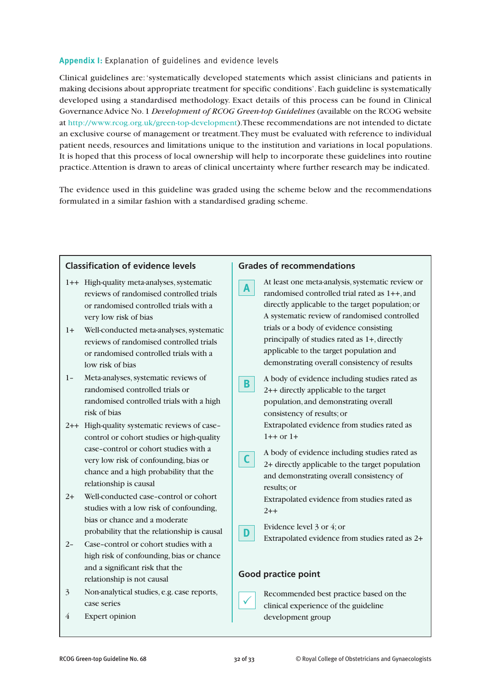# **Appendix I:** Explanation of guidelines and evidence levels

Clinical guidelines are:'systematically developed statements which assist clinicians and patients in making decisions about appropriate treatment for specific conditions'. Each guideline is systematically developed using a standardised methodology. Exact details of this process can be found in Clinical GovernanceAdvice No.1 *Development of RCOG Green-top Guidelines* (available on the RCOG website at http://www.rcog.org.uk/green-top-development).These recommendations are not intended to dictate an exclusive course of management or treatment.They must be evaluated with reference to individual patient needs, resources and limitations unique to the institution and variations in local populations. It is hoped that this process of local ownership will help to incorporate these guidelines into routine practice.Attention is drawn to areas of clinical uncertainty where further research may be indicated.

The evidence used in this guideline was graded using the scheme below and the recommendations formulated in a similar fashion with a standardised grading scheme.

| <b>Classification of evidence levels</b>                                                                                                                                                                                                                                                                                                    | <b>Grades of recommendations</b>                                                                                                                                                                                                                                                                                                                                                                 |
|---------------------------------------------------------------------------------------------------------------------------------------------------------------------------------------------------------------------------------------------------------------------------------------------------------------------------------------------|--------------------------------------------------------------------------------------------------------------------------------------------------------------------------------------------------------------------------------------------------------------------------------------------------------------------------------------------------------------------------------------------------|
| 1++ High-quality meta-analyses, systematic<br>reviews of randomised controlled trials<br>or randomised controlled trials with a<br>very low risk of bias<br>Well-conducted meta-analyses, systematic<br>$1+$<br>reviews of randomised controlled trials<br>or randomised controlled trials with a<br>low risk of bias                       | At least one meta-analysis, systematic review or<br>A<br>randomised controlled trial rated as 1++, and<br>directly applicable to the target population; or<br>A systematic review of randomised controlled<br>trials or a body of evidence consisting<br>principally of studies rated as 1+, directly<br>applicable to the target population and<br>demonstrating overall consistency of results |
| Meta-analyses, systematic reviews of<br>$1 -$<br>randomised controlled trials or<br>randomised controlled trials with a high<br>risk of bias                                                                                                                                                                                                | A body of evidence including studies rated as<br>В<br>2++ directly applicable to the target<br>population, and demonstrating overall<br>consistency of results; or                                                                                                                                                                                                                               |
| 2++ High-quality systematic reviews of case-<br>control or cohort studies or high-quality<br>case-control or cohort studies with a<br>very low risk of confounding, bias or<br>chance and a high probability that the<br>relationship is causal<br>Well-conducted case-control or cohort<br>$2+$<br>studies with a low risk of confounding, | Extrapolated evidence from studies rated as<br>$1++$ or $1+$<br>A body of evidence including studies rated as<br>2+ directly applicable to the target population<br>and demonstrating overall consistency of<br>results; or<br>Extrapolated evidence from studies rated as<br>$2 + +$                                                                                                            |
| bias or chance and a moderate<br>probability that the relationship is causal<br>Case-control or cohort studies with a<br>$2 -$<br>high risk of confounding, bias or chance<br>and a significant risk that the                                                                                                                               | Evidence level 3 or 4; or<br>D<br>Extrapolated evidence from studies rated as 2+<br><b>Good practice point</b>                                                                                                                                                                                                                                                                                   |
| relationship is not causal<br>Non-analytical studies, e.g. case reports,<br>$\overline{3}$<br>case series<br>$\overline{4}$<br><b>Expert opinion</b>                                                                                                                                                                                        | Recommended best practice based on the<br>clinical experience of the guideline<br>development group                                                                                                                                                                                                                                                                                              |
|                                                                                                                                                                                                                                                                                                                                             |                                                                                                                                                                                                                                                                                                                                                                                                  |